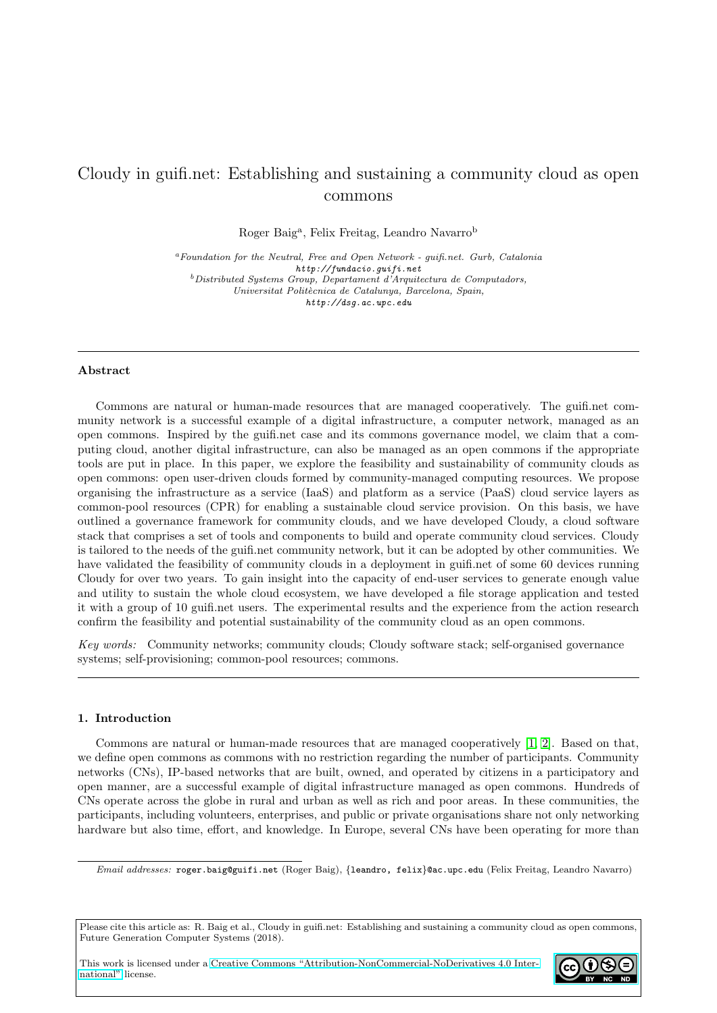# Cloudy in guifi.net: Establishing and sustaining a community cloud as open commons

Roger Baig<sup>a</sup>, Felix Freitag, Leandro Navarro<sup>b</sup>

 ${}^a$  Foundation for the Neutral, Free and Open Network - guifi.net. Gurb, Catalonia http://fundacio.guifi.net  $b$ Distributed Systems Group, Departament d'Arquitectura de Computadors, Universitat Politècnica de Catalunya, Barcelona, Spain, http://dsg.ac.upc.edu

## Abstract

Commons are natural or human-made resources that are managed cooperatively. The guifi.net community network is a successful example of a digital infrastructure, a computer network, managed as an open commons. Inspired by the guifi.net case and its commons governance model, we claim that a computing cloud, another digital infrastructure, can also be managed as an open commons if the appropriate tools are put in place. In this paper, we explore the feasibility and sustainability of community clouds as open commons: open user-driven clouds formed by community-managed computing resources. We propose organising the infrastructure as a service (IaaS) and platform as a service (PaaS) cloud service layers as common-pool resources (CPR) for enabling a sustainable cloud service provision. On this basis, we have outlined a governance framework for community clouds, and we have developed Cloudy, a cloud software stack that comprises a set of tools and components to build and operate community cloud services. Cloudy is tailored to the needs of the guifi.net community network, but it can be adopted by other communities. We have validated the feasibility of community clouds in a deployment in guifi.net of some 60 devices running Cloudy for over two years. To gain insight into the capacity of end-user services to generate enough value and utility to sustain the whole cloud ecosystem, we have developed a file storage application and tested it with a group of 10 guifi.net users. The experimental results and the experience from the action research confirm the feasibility and potential sustainability of the community cloud as an open commons.

Key words: Community networks; community clouds; Cloudy software stack; self-organised governance systems; self-provisioning; common-pool resources; commons.

## <span id="page-0-0"></span>1. Introduction

Commons are natural or human-made resources that are managed cooperatively [\[1,](#page-29-0) [2\]](#page-30-0). Based on that, we define open commons as commons with no restriction regarding the number of participants. Community networks (CNs), IP-based networks that are built, owned, and operated by citizens in a participatory and open manner, are a successful example of digital infrastructure managed as open commons. Hundreds of CNs operate across the globe in rural and urban as well as rich and poor areas. In these communities, the participants, including volunteers, enterprises, and public or private organisations share not only networking hardware but also time, effort, and knowledge. In Europe, several CNs have been operating for more than

This work is licensed under a [Creative Commons "Attribution-NonCommercial-NoDerivatives 4.0 Inter](https://creativecommons.org/licenses/by-nc-nd/4.0/deed.en)[national"](https://creativecommons.org/licenses/by-nc-nd/4.0/deed.en) license.



Email addresses: roger.baig@guifi.net (Roger Baig), {leandro, felix}@ac.upc.edu (Felix Freitag, Leandro Navarro)

Please cite this article as: R. Baig et al., Cloudy in guifi.net: Establishing and sustaining a community cloud as open commons, Future Generation Computer Systems (2018).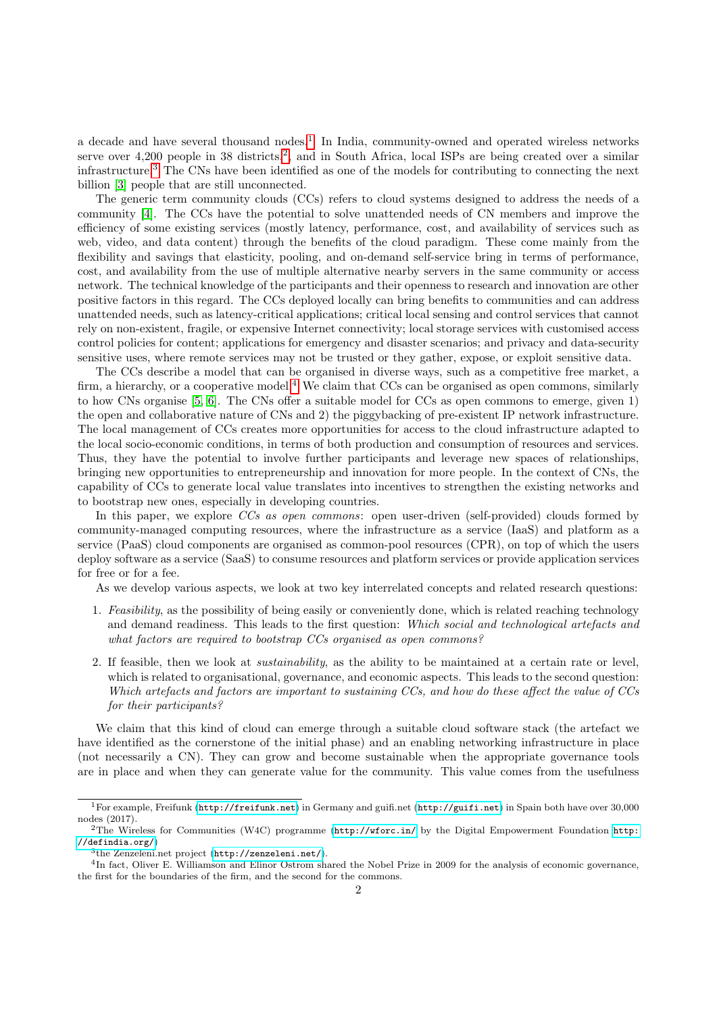a decade and have several thousand nodes.<sup>[1](#page-1-0)</sup> In India, community-owned and operated wireless networks serve over 4,[2](#page-1-1)00 people in 38 districts,<sup>2</sup>, and in South Africa, local ISPs are being created over a similar infrastructure.[3](#page-1-2) The CNs have been identified as one of the models for contributing to connecting the next billion [\[3\]](#page-30-1) people that are still unconnected.

The generic term community clouds (CCs) refers to cloud systems designed to address the needs of a community [\[4\]](#page-30-2). The CCs have the potential to solve unattended needs of CN members and improve the efficiency of some existing services (mostly latency, performance, cost, and availability of services such as web, video, and data content) through the benefits of the cloud paradigm. These come mainly from the flexibility and savings that elasticity, pooling, and on-demand self-service bring in terms of performance, cost, and availability from the use of multiple alternative nearby servers in the same community or access network. The technical knowledge of the participants and their openness to research and innovation are other positive factors in this regard. The CCs deployed locally can bring benefits to communities and can address unattended needs, such as latency-critical applications; critical local sensing and control services that cannot rely on non-existent, fragile, or expensive Internet connectivity; local storage services with customised access control policies for content; applications for emergency and disaster scenarios; and privacy and data-security sensitive uses, where remote services may not be trusted or they gather, expose, or exploit sensitive data.

The CCs describe a model that can be organised in diverse ways, such as a competitive free market, a firm, a hierarchy, or a cooperative model.<sup>[4](#page-1-3)</sup> We claim that CCs can be organised as open commons, similarly to how CNs organise [\[5,](#page-30-3) [6\]](#page-30-4). The CNs offer a suitable model for CCs as open commons to emerge, given 1) the open and collaborative nature of CNs and 2) the piggybacking of pre-existent IP network infrastructure. The local management of CCs creates more opportunities for access to the cloud infrastructure adapted to the local socio-economic conditions, in terms of both production and consumption of resources and services. Thus, they have the potential to involve further participants and leverage new spaces of relationships, bringing new opportunities to entrepreneurship and innovation for more people. In the context of CNs, the capability of CCs to generate local value translates into incentives to strengthen the existing networks and to bootstrap new ones, especially in developing countries.

In this paper, we explore CCs as open commons: open user-driven (self-provided) clouds formed by community-managed computing resources, where the infrastructure as a service (IaaS) and platform as a service (PaaS) cloud components are organised as common-pool resources (CPR), on top of which the users deploy software as a service (SaaS) to consume resources and platform services or provide application services for free or for a fee.

As we develop various aspects, we look at two key interrelated concepts and related research questions:

- 1. Feasibility, as the possibility of being easily or conveniently done, which is related reaching technology and demand readiness. This leads to the first question: Which social and technological artefacts and what factors are required to bootstrap CCs organised as open commons?
- 2. If feasible, then we look at sustainability, as the ability to be maintained at a certain rate or level, which is related to organisational, governance, and economic aspects. This leads to the second question: Which artefacts and factors are important to sustaining CCs, and how do these affect the value of CCs for their participants?

We claim that this kind of cloud can emerge through a suitable cloud software stack (the artefact we have identified as the cornerstone of the initial phase) and an enabling networking infrastructure in place (not necessarily a CN). They can grow and become sustainable when the appropriate governance tools are in place and when they can generate value for the community. This value comes from the usefulness

<span id="page-1-0"></span><sup>1</sup>For example, Freifunk (<http://freifunk.net>) in Germany and guifi.net (<http://guifi.net>) in Spain both have over 30,000 nodes (2017).

<span id="page-1-1"></span><sup>2</sup>The Wireless for Communities (W4C) programme (<http://wforc.in/> by the Digital Empowerment Foundation [http:](http://defindia.org/) [//defindia.org/](http://defindia.org/))

<span id="page-1-3"></span><span id="page-1-2"></span><sup>3</sup> the Zenzeleni.net project (<http://zenzeleni.net/>).

<sup>4</sup> In fact, Oliver E. Williamson and Elinor Ostrom shared the Nobel Prize in 2009 for the analysis of economic governance, the first for the boundaries of the firm, and the second for the commons.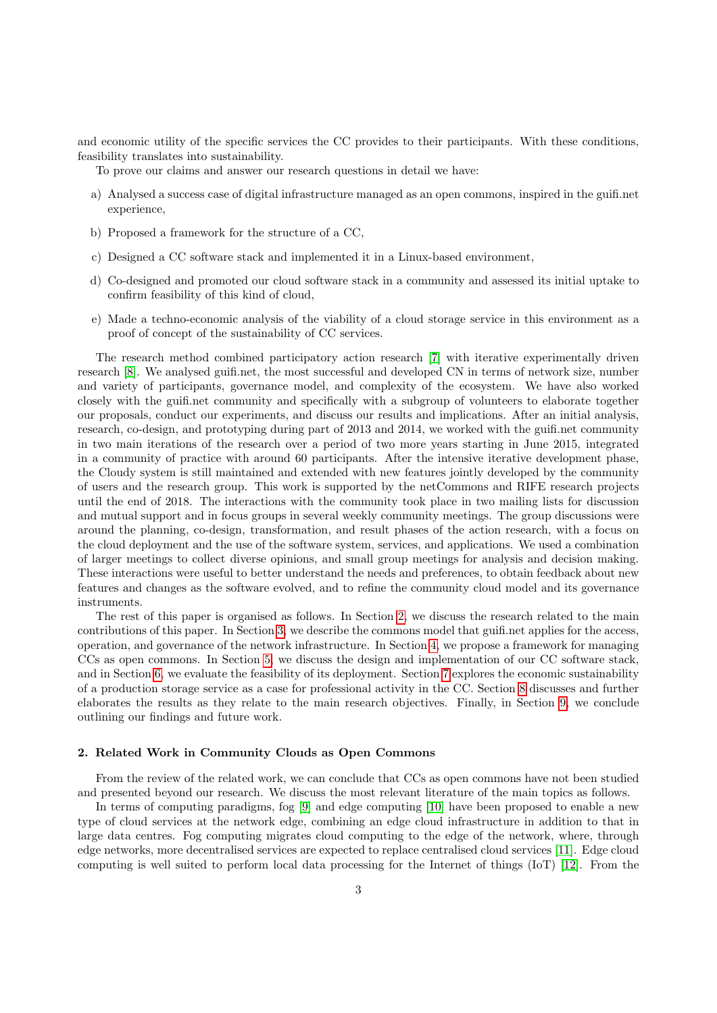and economic utility of the specific services the CC provides to their participants. With these conditions, feasibility translates into sustainability.

To prove our claims and answer our research questions in detail we have:

- a) Analysed a success case of digital infrastructure managed as an open commons, inspired in the guifi.net experience,
- b) Proposed a framework for the structure of a CC,
- c) Designed a CC software stack and implemented it in a Linux-based environment,
- d) Co-designed and promoted our cloud software stack in a community and assessed its initial uptake to confirm feasibility of this kind of cloud,
- e) Made a techno-economic analysis of the viability of a cloud storage service in this environment as a proof of concept of the sustainability of CC services.

The research method combined participatory action research [\[7\]](#page-30-5) with iterative experimentally driven research [\[8\]](#page-30-6). We analysed guifi.net, the most successful and developed CN in terms of network size, number and variety of participants, governance model, and complexity of the ecosystem. We have also worked closely with the guifi.net community and specifically with a subgroup of volunteers to elaborate together our proposals, conduct our experiments, and discuss our results and implications. After an initial analysis, research, co-design, and prototyping during part of 2013 and 2014, we worked with the guifi.net community in two main iterations of the research over a period of two more years starting in June 2015, integrated in a community of practice with around 60 participants. After the intensive iterative development phase, the Cloudy system is still maintained and extended with new features jointly developed by the community of users and the research group. This work is supported by the netCommons and RIFE research projects until the end of 2018. The interactions with the community took place in two mailing lists for discussion and mutual support and in focus groups in several weekly community meetings. The group discussions were around the planning, co-design, transformation, and result phases of the action research, with a focus on the cloud deployment and the use of the software system, services, and applications. We used a combination of larger meetings to collect diverse opinions, and small group meetings for analysis and decision making. These interactions were useful to better understand the needs and preferences, to obtain feedback about new features and changes as the software evolved, and to refine the community cloud model and its governance instruments.

The rest of this paper is organised as follows. In Section [2,](#page-2-0) we discuss the research related to the main contributions of this paper. In Section [3,](#page-4-0) we describe the commons model that guifi.net applies for the access, operation, and governance of the network infrastructure. In Section [4,](#page-8-0) we propose a framework for managing CCs as open commons. In Section [5,](#page-13-0) we discuss the design and implementation of our CC software stack, and in Section [6,](#page-18-0) we evaluate the feasibility of its deployment. Section [7](#page-20-0) explores the economic sustainability of a production storage service as a case for professional activity in the CC. Section [8](#page-25-0) discusses and further elaborates the results as they relate to the main research objectives. Finally, in Section [9,](#page-28-0) we conclude outlining our findings and future work.

## <span id="page-2-0"></span>2. Related Work in Community Clouds as Open Commons

From the review of the related work, we can conclude that CCs as open commons have not been studied and presented beyond our research. We discuss the most relevant literature of the main topics as follows.

In terms of computing paradigms, fog [\[9\]](#page-30-7) and edge computing [\[10\]](#page-30-8) have been proposed to enable a new type of cloud services at the network edge, combining an edge cloud infrastructure in addition to that in large data centres. Fog computing migrates cloud computing to the edge of the network, where, through edge networks, more decentralised services are expected to replace centralised cloud services [\[11\]](#page-30-9). Edge cloud computing is well suited to perform local data processing for the Internet of things (IoT) [\[12\]](#page-30-10). From the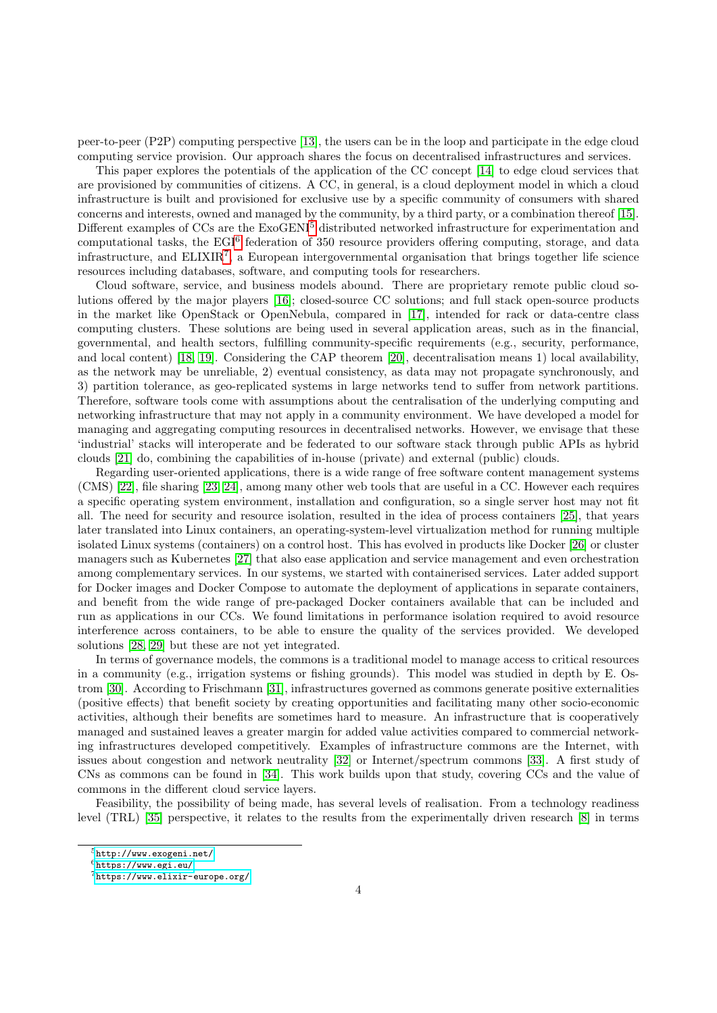peer-to-peer (P2P) computing perspective [\[13\]](#page-30-11), the users can be in the loop and participate in the edge cloud computing service provision. Our approach shares the focus on decentralised infrastructures and services.

This paper explores the potentials of the application of the CC concept [\[14\]](#page-30-12) to edge cloud services that are provisioned by communities of citizens. A CC, in general, is a cloud deployment model in which a cloud infrastructure is built and provisioned for exclusive use by a specific community of consumers with shared concerns and interests, owned and managed by the community, by a third party, or a combination thereof [\[15\]](#page-30-13). Different examples of CCs are the ExoGENI<sup>[5](#page-3-0)</sup> distributed networked infrastructure for experimentation and computational tasks, the EGI<sup>[6](#page-3-1)</sup> federation of 350 resource providers offering computing, storage, and data infrastructure, and  $ELIXIR<sup>7</sup>$  $ELIXIR<sup>7</sup>$  $ELIXIR<sup>7</sup>$ , a European intergovernmental organisation that brings together life science resources including databases, software, and computing tools for researchers.

Cloud software, service, and business models abound. There are proprietary remote public cloud solutions offered by the major players [\[16\]](#page-30-14); closed-source CC solutions; and full stack open-source products in the market like OpenStack or OpenNebula, compared in [\[17\]](#page-30-15), intended for rack or data-centre class computing clusters. These solutions are being used in several application areas, such as in the financial, governmental, and health sectors, fulfilling community-specific requirements (e.g., security, performance, and local content) [\[18,](#page-30-16) [19\]](#page-30-17). Considering the CAP theorem [\[20\]](#page-30-18), decentralisation means 1) local availability, as the network may be unreliable, 2) eventual consistency, as data may not propagate synchronously, and 3) partition tolerance, as geo-replicated systems in large networks tend to suffer from network partitions. Therefore, software tools come with assumptions about the centralisation of the underlying computing and networking infrastructure that may not apply in a community environment. We have developed a model for managing and aggregating computing resources in decentralised networks. However, we envisage that these 'industrial' stacks will interoperate and be federated to our software stack through public APIs as hybrid clouds [\[21\]](#page-30-19) do, combining the capabilities of in-house (private) and external (public) clouds.

Regarding user-oriented applications, there is a wide range of free software content management systems (CMS) [\[22\]](#page-30-20), file sharing [\[23,](#page-30-21) [24\]](#page-30-22), among many other web tools that are useful in a CC. However each requires a specific operating system environment, installation and configuration, so a single server host may not fit all. The need for security and resource isolation, resulted in the idea of process containers [\[25\]](#page-30-23), that years later translated into Linux containers, an operating-system-level virtualization method for running multiple isolated Linux systems (containers) on a control host. This has evolved in products like Docker [\[26\]](#page-30-24) or cluster managers such as Kubernetes [\[27\]](#page-30-25) that also ease application and service management and even orchestration among complementary services. In our systems, we started with containerised services. Later added support for Docker images and Docker Compose to automate the deployment of applications in separate containers, and benefit from the wide range of pre-packaged Docker containers available that can be included and run as applications in our CCs. We found limitations in performance isolation required to avoid resource interference across containers, to be able to ensure the quality of the services provided. We developed solutions [\[28,](#page-30-26) [29\]](#page-31-0) but these are not yet integrated.

In terms of governance models, the commons is a traditional model to manage access to critical resources in a community (e.g., irrigation systems or fishing grounds). This model was studied in depth by E. Ostrom [\[30\]](#page-31-1). According to Frischmann [\[31\]](#page-31-2), infrastructures governed as commons generate positive externalities (positive effects) that benefit society by creating opportunities and facilitating many other socio-economic activities, although their benefits are sometimes hard to measure. An infrastructure that is cooperatively managed and sustained leaves a greater margin for added value activities compared to commercial networking infrastructures developed competitively. Examples of infrastructure commons are the Internet, with issues about congestion and network neutrality [\[32\]](#page-31-3) or Internet/spectrum commons [\[33\]](#page-31-4). A first study of CNs as commons can be found in [\[34\]](#page-31-5). This work builds upon that study, covering CCs and the value of commons in the different cloud service layers.

Feasibility, the possibility of being made, has several levels of realisation. From a technology readiness level (TRL) [\[35\]](#page-31-6) perspective, it relates to the results from the experimentally driven research [\[8\]](#page-30-6) in terms

<span id="page-3-0"></span><sup>5</sup><http://www.exogeni.net/>

<span id="page-3-1"></span> $6$ <https://www.egi.eu/>

<span id="page-3-2"></span><sup>7</sup><https://www.elixir-europe.org/>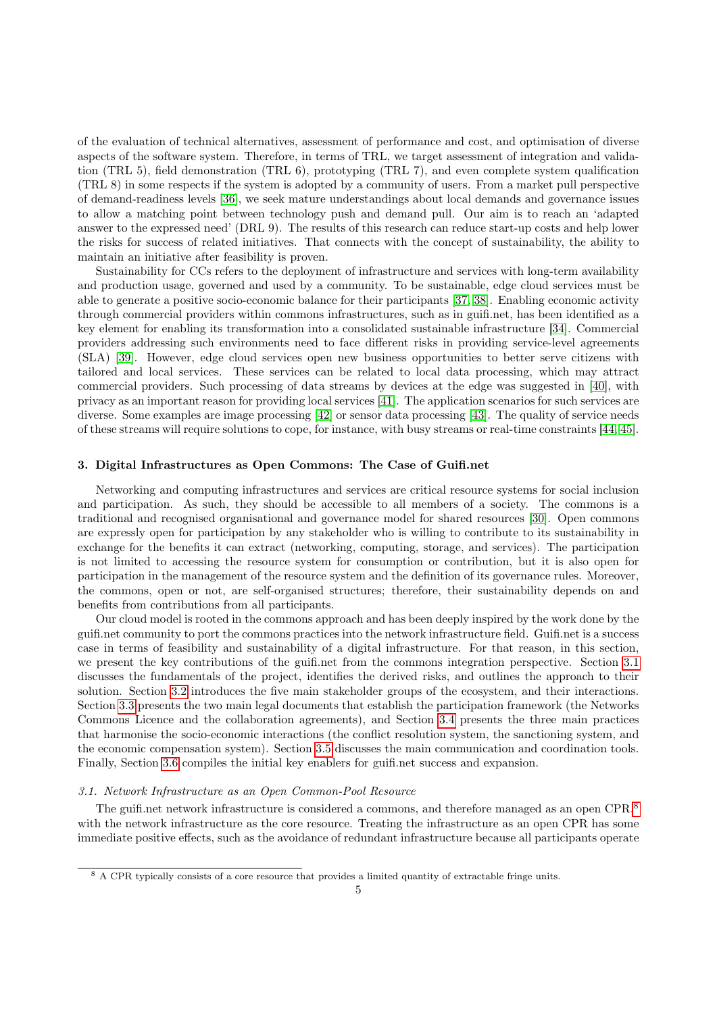of the evaluation of technical alternatives, assessment of performance and cost, and optimisation of diverse aspects of the software system. Therefore, in terms of TRL, we target assessment of integration and validation (TRL 5), field demonstration (TRL 6), prototyping (TRL 7), and even complete system qualification (TRL 8) in some respects if the system is adopted by a community of users. From a market pull perspective of demand-readiness levels [\[36\]](#page-31-7), we seek mature understandings about local demands and governance issues to allow a matching point between technology push and demand pull. Our aim is to reach an 'adapted answer to the expressed need' (DRL 9). The results of this research can reduce start-up costs and help lower the risks for success of related initiatives. That connects with the concept of sustainability, the ability to maintain an initiative after feasibility is proven.

Sustainability for CCs refers to the deployment of infrastructure and services with long-term availability and production usage, governed and used by a community. To be sustainable, edge cloud services must be able to generate a positive socio-economic balance for their participants [\[37,](#page-31-8) [38\]](#page-31-9). Enabling economic activity through commercial providers within commons infrastructures, such as in guifi.net, has been identified as a key element for enabling its transformation into a consolidated sustainable infrastructure [\[34\]](#page-31-5). Commercial providers addressing such environments need to face different risks in providing service-level agreements (SLA) [\[39\]](#page-31-10). However, edge cloud services open new business opportunities to better serve citizens with tailored and local services. These services can be related to local data processing, which may attract commercial providers. Such processing of data streams by devices at the edge was suggested in [\[40\]](#page-31-11), with privacy as an important reason for providing local services [\[41\]](#page-31-12). The application scenarios for such services are diverse. Some examples are image processing [\[42\]](#page-31-13) or sensor data processing [\[43\]](#page-31-14). The quality of service needs of these streams will require solutions to cope, for instance, with busy streams or real-time constraints [\[44,](#page-31-15) [45\]](#page-31-16).

## <span id="page-4-0"></span>3. Digital Infrastructures as Open Commons: The Case of Guifi.net

Networking and computing infrastructures and services are critical resource systems for social inclusion and participation. As such, they should be accessible to all members of a society. The commons is a traditional and recognised organisational and governance model for shared resources [\[30\]](#page-31-1). Open commons are expressly open for participation by any stakeholder who is willing to contribute to its sustainability in exchange for the benefits it can extract (networking, computing, storage, and services). The participation is not limited to accessing the resource system for consumption or contribution, but it is also open for participation in the management of the resource system and the definition of its governance rules. Moreover, the commons, open or not, are self-organised structures; therefore, their sustainability depends on and benefits from contributions from all participants.

Our cloud model is rooted in the commons approach and has been deeply inspired by the work done by the guifi.net community to port the commons practices into the network infrastructure field. Guifi.net is a success case in terms of feasibility and sustainability of a digital infrastructure. For that reason, in this section, we present the key contributions of the guifi.net from the commons integration perspective. Section [3.1](#page-4-1) discusses the fundamentals of the project, identifies the derived risks, and outlines the approach to their solution. Section [3.2](#page-5-0) introduces the five main stakeholder groups of the ecosystem, and their interactions. Section [3.3](#page-6-0) presents the two main legal documents that establish the participation framework (the Networks Commons Licence and the collaboration agreements), and Section [3.4](#page-7-0) presents the three main practices that harmonise the socio-economic interactions (the conflict resolution system, the sanctioning system, and the economic compensation system). Section [3.5](#page-7-1) discusses the main communication and coordination tools. Finally, Section [3.6](#page-7-2) compiles the initial key enablers for guifi.net success and expansion.

#### <span id="page-4-1"></span>3.1. Network Infrastructure as an Open Common-Pool Resource

The guifi.net network infrastructure is considered a commons, and therefore managed as an open CPR,<sup>[8](#page-4-2)</sup> with the network infrastructure as the core resource. Treating the infrastructure as an open CPR has some immediate positive effects, such as the avoidance of redundant infrastructure because all participants operate

<span id="page-4-2"></span><sup>8</sup> A CPR typically consists of a core resource that provides a limited quantity of extractable fringe units.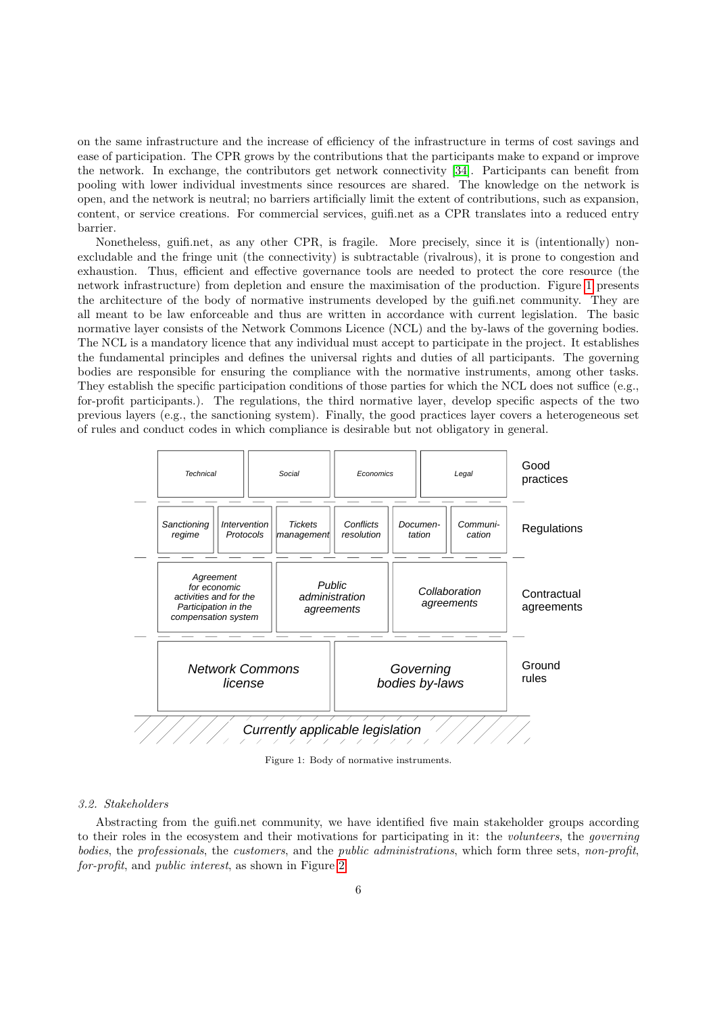on the same infrastructure and the increase of efficiency of the infrastructure in terms of cost savings and ease of participation. The CPR grows by the contributions that the participants make to expand or improve the network. In exchange, the contributors get network connectivity [\[34\]](#page-31-5). Participants can benefit from pooling with lower individual investments since resources are shared. The knowledge on the network is open, and the network is neutral; no barriers artificially limit the extent of contributions, such as expansion, content, or service creations. For commercial services, guifi.net as a CPR translates into a reduced entry barrier.

Nonetheless, guifi.net, as any other CPR, is fragile. More precisely, since it is (intentionally) nonexcludable and the fringe unit (the connectivity) is subtractable (rivalrous), it is prone to congestion and exhaustion. Thus, efficient and effective governance tools are needed to protect the core resource (the network infrastructure) from depletion and ensure the maximisation of the production. Figure [1](#page-5-1) presents the architecture of the body of normative instruments developed by the guifi.net community. They are all meant to be law enforceable and thus are written in accordance with current legislation. The basic normative layer consists of the Network Commons Licence (NCL) and the by-laws of the governing bodies. The NCL is a mandatory licence that any individual must accept to participate in the project. It establishes the fundamental principles and defines the universal rights and duties of all participants. The governing bodies are responsible for ensuring the compliance with the normative instruments, among other tasks. They establish the specific participation conditions of those parties for which the NCL does not suffice (e.g., for-profit participants.). The regulations, the third normative layer, develop specific aspects of the two previous layers (e.g., the sanctioning system). Finally, the good practices layer covers a heterogeneous set of rules and conduct codes in which compliance is desirable but not obligatory in general.

<span id="page-5-1"></span>

Figure 1: Body of normative instruments.

## <span id="page-5-0"></span>3.2. Stakeholders

Abstracting from the guifi.net community, we have identified five main stakeholder groups according to their roles in the ecosystem and their motivations for participating in it: the volunteers, the governing bodies, the professionals, the customers, and the public administrations, which form three sets, non-profit, for-profit, and public interest, as shown in Figure [2.](#page-6-1)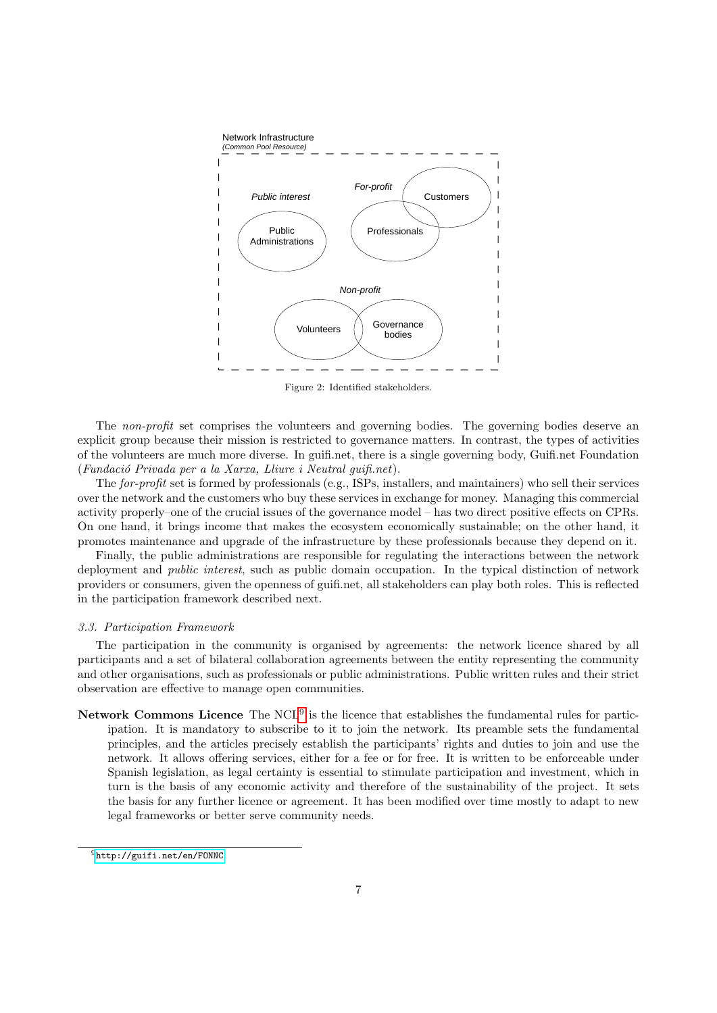<span id="page-6-1"></span>

Figure 2: Identified stakeholders.

The non-profit set comprises the volunteers and governing bodies. The governing bodies deserve an explicit group because their mission is restricted to governance matters. In contrast, the types of activities of the volunteers are much more diverse. In guifi.net, there is a single governing body, Guifi.net Foundation  $(Fundació Privada per a la Xarxa, Lliure i Neutral quifi.net).$ 

The for-profit set is formed by professionals (e.g., ISPs, installers, and maintainers) who sell their services over the network and the customers who buy these services in exchange for money. Managing this commercial activity properly–one of the crucial issues of the governance model – has two direct positive effects on CPRs. On one hand, it brings income that makes the ecosystem economically sustainable; on the other hand, it promotes maintenance and upgrade of the infrastructure by these professionals because they depend on it.

Finally, the public administrations are responsible for regulating the interactions between the network deployment and public interest, such as public domain occupation. In the typical distinction of network providers or consumers, given the openness of guifi.net, all stakeholders can play both roles. This is reflected in the participation framework described next.

#### <span id="page-6-0"></span>3.3. Participation Framework

The participation in the community is organised by agreements: the network licence shared by all participants and a set of bilateral collaboration agreements between the entity representing the community and other organisations, such as professionals or public administrations. Public written rules and their strict observation are effective to manage open communities.

Network Commons Licence The  $NCL<sup>9</sup>$  $NCL<sup>9</sup>$  $NCL<sup>9</sup>$  is the licence that establishes the fundamental rules for participation. It is mandatory to subscribe to it to join the network. Its preamble sets the fundamental principles, and the articles precisely establish the participants' rights and duties to join and use the network. It allows offering services, either for a fee or for free. It is written to be enforceable under Spanish legislation, as legal certainty is essential to stimulate participation and investment, which in turn is the basis of any economic activity and therefore of the sustainability of the project. It sets the basis for any further licence or agreement. It has been modified over time mostly to adapt to new legal frameworks or better serve community needs.

<span id="page-6-2"></span><sup>9</sup><http://guifi.net/en/FONNC>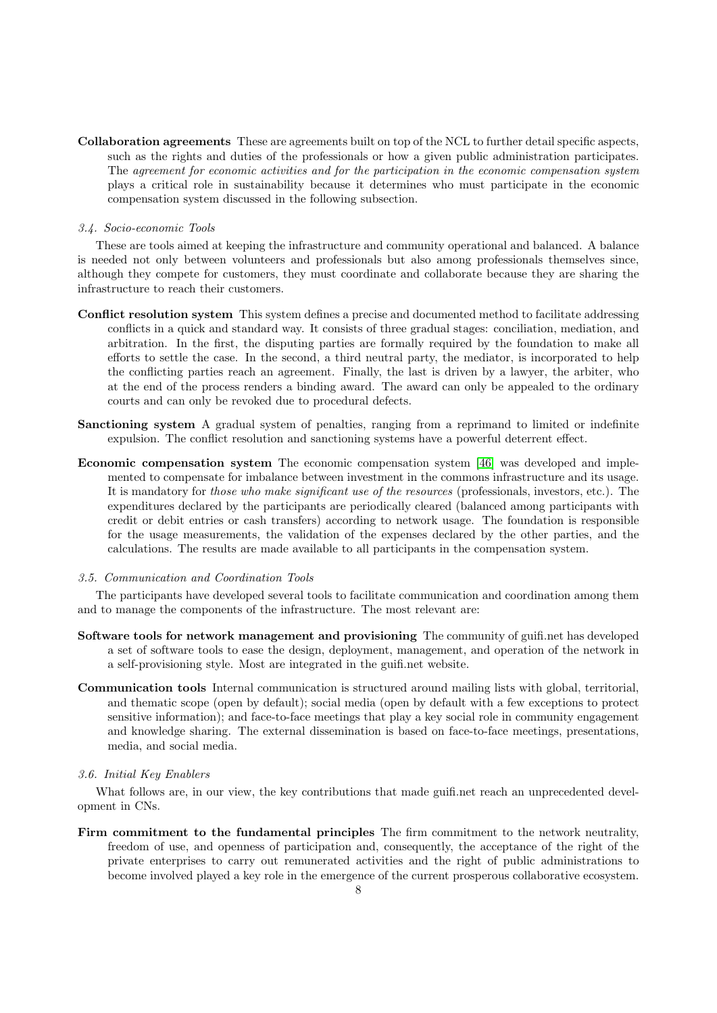Collaboration agreements These are agreements built on top of the NCL to further detail specific aspects, such as the rights and duties of the professionals or how a given public administration participates. The agreement for economic activities and for the participation in the economic compensation system plays a critical role in sustainability because it determines who must participate in the economic compensation system discussed in the following subsection.

## <span id="page-7-0"></span>3.4. Socio-economic Tools

These are tools aimed at keeping the infrastructure and community operational and balanced. A balance is needed not only between volunteers and professionals but also among professionals themselves since, although they compete for customers, they must coordinate and collaborate because they are sharing the infrastructure to reach their customers.

- Conflict resolution system This system defines a precise and documented method to facilitate addressing conflicts in a quick and standard way. It consists of three gradual stages: conciliation, mediation, and arbitration. In the first, the disputing parties are formally required by the foundation to make all efforts to settle the case. In the second, a third neutral party, the mediator, is incorporated to help the conflicting parties reach an agreement. Finally, the last is driven by a lawyer, the arbiter, who at the end of the process renders a binding award. The award can only be appealed to the ordinary courts and can only be revoked due to procedural defects.
- Sanctioning system A gradual system of penalties, ranging from a reprimand to limited or indefinite expulsion. The conflict resolution and sanctioning systems have a powerful deterrent effect.
- Economic compensation system The economic compensation system [\[46\]](#page-31-17) was developed and implemented to compensate for imbalance between investment in the commons infrastructure and its usage. It is mandatory for those who make significant use of the resources (professionals, investors, etc.). The expenditures declared by the participants are periodically cleared (balanced among participants with credit or debit entries or cash transfers) according to network usage. The foundation is responsible for the usage measurements, the validation of the expenses declared by the other parties, and the calculations. The results are made available to all participants in the compensation system.

#### <span id="page-7-1"></span>3.5. Communication and Coordination Tools

The participants have developed several tools to facilitate communication and coordination among them and to manage the components of the infrastructure. The most relevant are:

- Software tools for network management and provisioning The community of guifi.net has developed a set of software tools to ease the design, deployment, management, and operation of the network in a self-provisioning style. Most are integrated in the guifi.net website.
- Communication tools Internal communication is structured around mailing lists with global, territorial, and thematic scope (open by default); social media (open by default with a few exceptions to protect sensitive information); and face-to-face meetings that play a key social role in community engagement and knowledge sharing. The external dissemination is based on face-to-face meetings, presentations, media, and social media.

## <span id="page-7-2"></span>3.6. Initial Key Enablers

What follows are, in our view, the key contributions that made guifinet reach an unprecedented development in CNs.

Firm commitment to the fundamental principles The firm commitment to the network neutrality, freedom of use, and openness of participation and, consequently, the acceptance of the right of the private enterprises to carry out remunerated activities and the right of public administrations to become involved played a key role in the emergence of the current prosperous collaborative ecosystem.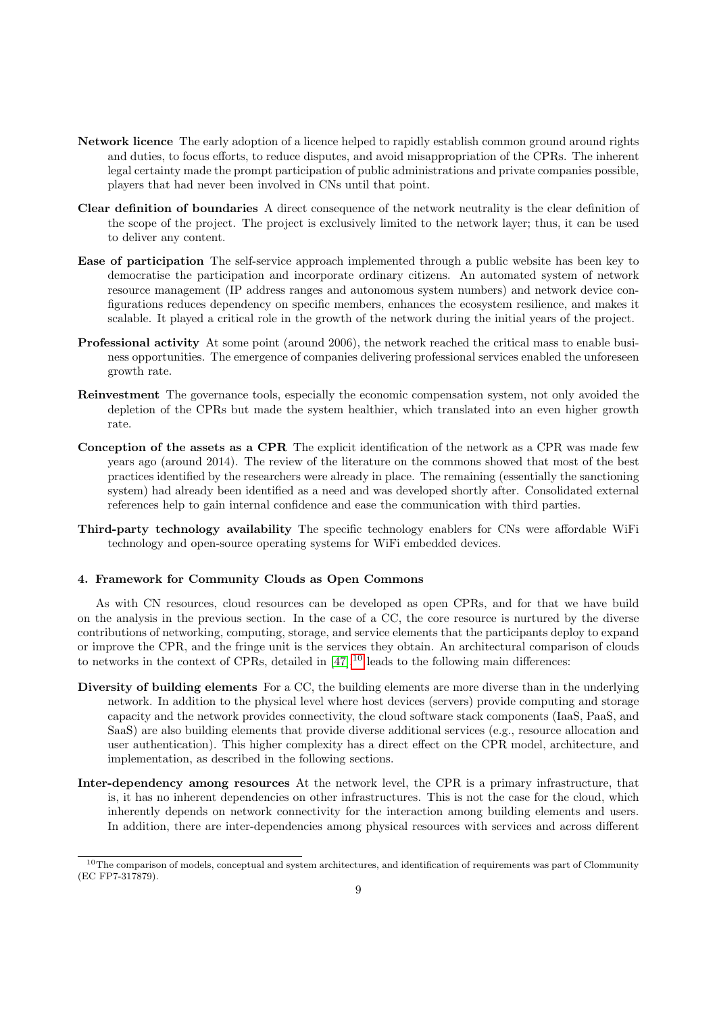- Network licence The early adoption of a licence helped to rapidly establish common ground around rights and duties, to focus efforts, to reduce disputes, and avoid misappropriation of the CPRs. The inherent legal certainty made the prompt participation of public administrations and private companies possible, players that had never been involved in CNs until that point.
- Clear definition of boundaries A direct consequence of the network neutrality is the clear definition of the scope of the project. The project is exclusively limited to the network layer; thus, it can be used to deliver any content.
- Ease of participation The self-service approach implemented through a public website has been key to democratise the participation and incorporate ordinary citizens. An automated system of network resource management (IP address ranges and autonomous system numbers) and network device configurations reduces dependency on specific members, enhances the ecosystem resilience, and makes it scalable. It played a critical role in the growth of the network during the initial years of the project.
- Professional activity At some point (around 2006), the network reached the critical mass to enable business opportunities. The emergence of companies delivering professional services enabled the unforeseen growth rate.
- Reinvestment The governance tools, especially the economic compensation system, not only avoided the depletion of the CPRs but made the system healthier, which translated into an even higher growth rate.
- Conception of the assets as a CPR The explicit identification of the network as a CPR was made few years ago (around 2014). The review of the literature on the commons showed that most of the best practices identified by the researchers were already in place. The remaining (essentially the sanctioning system) had already been identified as a need and was developed shortly after. Consolidated external references help to gain internal confidence and ease the communication with third parties.
- Third-party technology availability The specific technology enablers for CNs were affordable WiFi technology and open-source operating systems for WiFi embedded devices.

## <span id="page-8-0"></span>4. Framework for Community Clouds as Open Commons

As with CN resources, cloud resources can be developed as open CPRs, and for that we have build on the analysis in the previous section. In the case of a CC, the core resource is nurtured by the diverse contributions of networking, computing, storage, and service elements that the participants deploy to expand or improve the CPR, and the fringe unit is the services they obtain. An architectural comparison of clouds to networks in the context of CPRs, detailed in  $[47]$ ,<sup>[10](#page-8-1)</sup> leads to the following main differences:

- Diversity of building elements For a CC, the building elements are more diverse than in the underlying network. In addition to the physical level where host devices (servers) provide computing and storage capacity and the network provides connectivity, the cloud software stack components (IaaS, PaaS, and SaaS) are also building elements that provide diverse additional services (e.g., resource allocation and user authentication). This higher complexity has a direct effect on the CPR model, architecture, and implementation, as described in the following sections.
- Inter-dependency among resources At the network level, the CPR is a primary infrastructure, that is, it has no inherent dependencies on other infrastructures. This is not the case for the cloud, which inherently depends on network connectivity for the interaction among building elements and users. In addition, there are inter-dependencies among physical resources with services and across different

<span id="page-8-1"></span> $10$ The comparison of models, conceptual and system architectures, and identification of requirements was part of Clommunity (EC FP7-317879).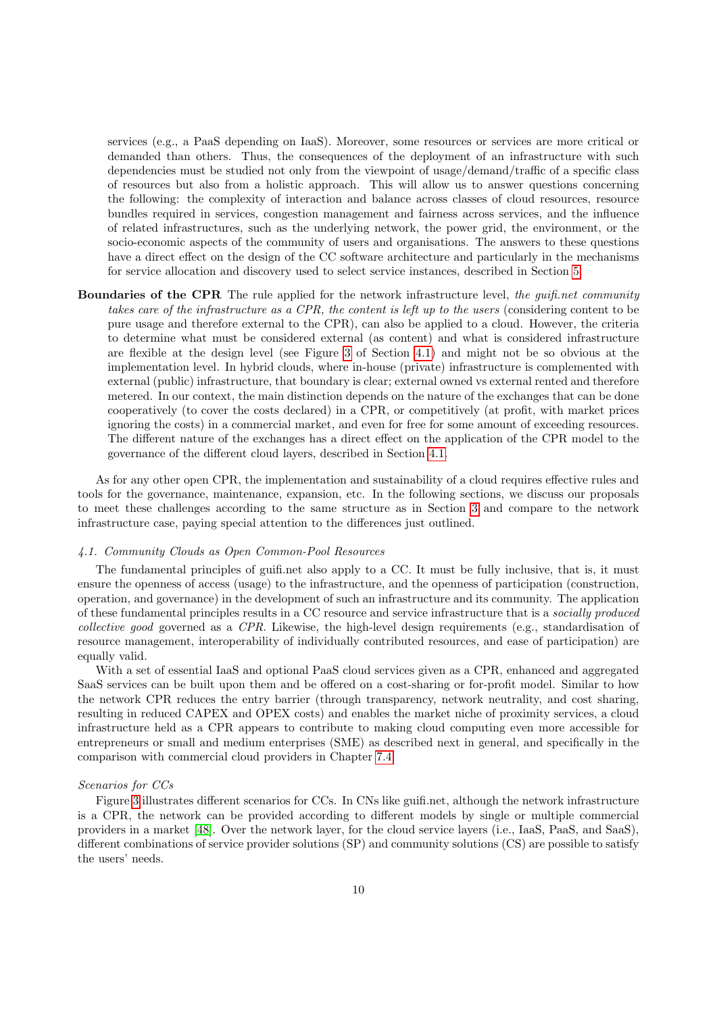services (e.g., a PaaS depending on IaaS). Moreover, some resources or services are more critical or demanded than others. Thus, the consequences of the deployment of an infrastructure with such dependencies must be studied not only from the viewpoint of usage/demand/traffic of a specific class of resources but also from a holistic approach. This will allow us to answer questions concerning the following: the complexity of interaction and balance across classes of cloud resources, resource bundles required in services, congestion management and fairness across services, and the influence of related infrastructures, such as the underlying network, the power grid, the environment, or the socio-economic aspects of the community of users and organisations. The answers to these questions have a direct effect on the design of the CC software architecture and particularly in the mechanisms for service allocation and discovery used to select service instances, described in Section [5.](#page-13-0)

Boundaries of the CPR The rule applied for the network infrastructure level, the guifi.net community takes care of the infrastructure as a CPR, the content is left up to the users (considering content to be pure usage and therefore external to the CPR), can also be applied to a cloud. However, the criteria to determine what must be considered external (as content) and what is considered infrastructure are flexible at the design level (see Figure [3](#page-10-0) of Section [4.1\)](#page-9-0) and might not be so obvious at the implementation level. In hybrid clouds, where in-house (private) infrastructure is complemented with external (public) infrastructure, that boundary is clear; external owned vs external rented and therefore metered. In our context, the main distinction depends on the nature of the exchanges that can be done cooperatively (to cover the costs declared) in a CPR, or competitively (at profit, with market prices ignoring the costs) in a commercial market, and even for free for some amount of exceeding resources. The different nature of the exchanges has a direct effect on the application of the CPR model to the governance of the different cloud layers, described in Section [4.1.](#page-9-0)

As for any other open CPR, the implementation and sustainability of a cloud requires effective rules and tools for the governance, maintenance, expansion, etc. In the following sections, we discuss our proposals to meet these challenges according to the same structure as in Section [3](#page-4-0) and compare to the network infrastructure case, paying special attention to the differences just outlined.

## <span id="page-9-0"></span>4.1. Community Clouds as Open Common-Pool Resources

The fundamental principles of guifi.net also apply to a CC. It must be fully inclusive, that is, it must ensure the openness of access (usage) to the infrastructure, and the openness of participation (construction, operation, and governance) in the development of such an infrastructure and its community. The application of these fundamental principles results in a CC resource and service infrastructure that is a socially produced collective good governed as a CPR. Likewise, the high-level design requirements (e.g., standardisation of resource management, interoperability of individually contributed resources, and ease of participation) are equally valid.

With a set of essential IaaS and optional PaaS cloud services given as a CPR, enhanced and aggregated SaaS services can be built upon them and be offered on a cost-sharing or for-profit model. Similar to how the network CPR reduces the entry barrier (through transparency, network neutrality, and cost sharing, resulting in reduced CAPEX and OPEX costs) and enables the market niche of proximity services, a cloud infrastructure held as a CPR appears to contribute to making cloud computing even more accessible for entrepreneurs or small and medium enterprises (SME) as described next in general, and specifically in the comparison with commercial cloud providers in Chapter [7.4.](#page-23-0)

#### Scenarios for CCs

Figure [3](#page-10-0) illustrates different scenarios for CCs. In CNs like guifi.net, although the network infrastructure is a CPR, the network can be provided according to different models by single or multiple commercial providers in a market [\[48\]](#page-31-19). Over the network layer, for the cloud service layers (i.e., IaaS, PaaS, and SaaS), different combinations of service provider solutions (SP) and community solutions (CS) are possible to satisfy the users' needs.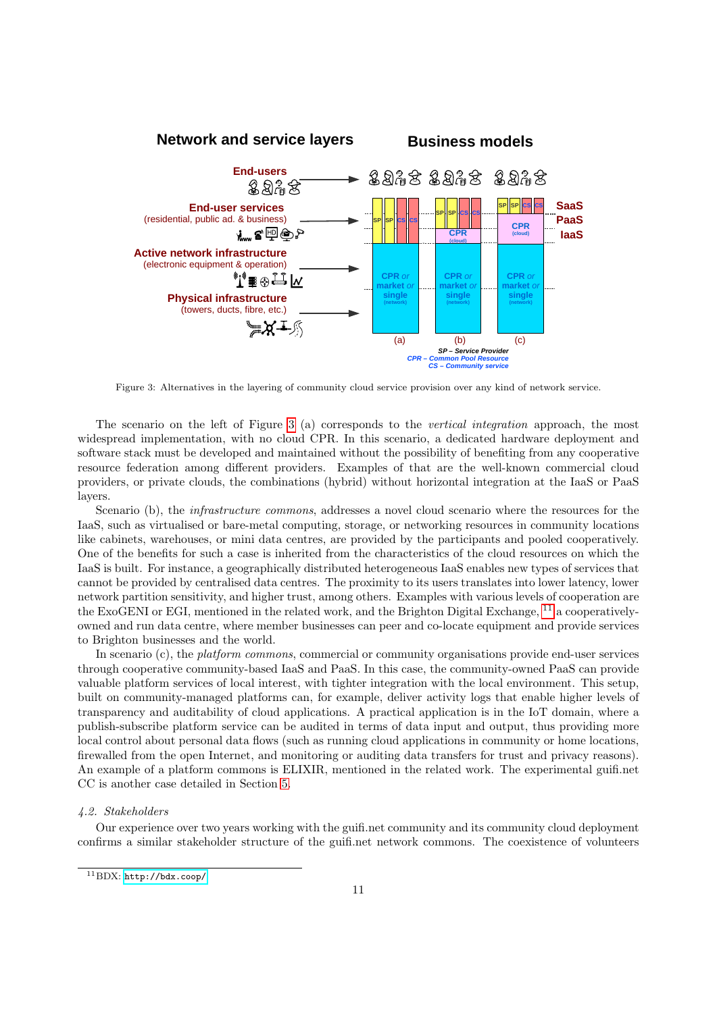<span id="page-10-0"></span>

Figure 3: Alternatives in the layering of community cloud service provision over any kind of network service.

The scenario on the left of Figure [3](#page-10-0) (a) corresponds to the vertical integration approach, the most widespread implementation, with no cloud CPR. In this scenario, a dedicated hardware deployment and software stack must be developed and maintained without the possibility of benefiting from any cooperative resource federation among different providers. Examples of that are the well-known commercial cloud providers, or private clouds, the combinations (hybrid) without horizontal integration at the IaaS or PaaS layers.

Scenario (b), the *infrastructure commons*, addresses a novel cloud scenario where the resources for the IaaS, such as virtualised or bare-metal computing, storage, or networking resources in community locations like cabinets, warehouses, or mini data centres, are provided by the participants and pooled cooperatively. One of the benefits for such a case is inherited from the characteristics of the cloud resources on which the IaaS is built. For instance, a geographically distributed heterogeneous IaaS enables new types of services that cannot be provided by centralised data centres. The proximity to its users translates into lower latency, lower network partition sensitivity, and higher trust, among others. Examples with various levels of cooperation are the ExoGENI or EGI, mentioned in the related work, and the Brighton Digital Exchange, <sup>[11](#page-10-1)</sup> a cooperativelyowned and run data centre, where member businesses can peer and co-locate equipment and provide services to Brighton businesses and the world.

In scenario (c), the *platform commons*, commercial or community organisations provide end-user services through cooperative community-based IaaS and PaaS. In this case, the community-owned PaaS can provide valuable platform services of local interest, with tighter integration with the local environment. This setup, built on community-managed platforms can, for example, deliver activity logs that enable higher levels of transparency and auditability of cloud applications. A practical application is in the IoT domain, where a publish-subscribe platform service can be audited in terms of data input and output, thus providing more local control about personal data flows (such as running cloud applications in community or home locations, firewalled from the open Internet, and monitoring or auditing data transfers for trust and privacy reasons). An example of a platform commons is ELIXIR, mentioned in the related work. The experimental guifi.net CC is another case detailed in Section [5.](#page-13-0)

## 4.2. Stakeholders

Our experience over two years working with the guifi.net community and its community cloud deployment confirms a similar stakeholder structure of the guifi.net network commons. The coexistence of volunteers

<span id="page-10-1"></span><sup>11</sup>BDX: <http://bdx.coop/>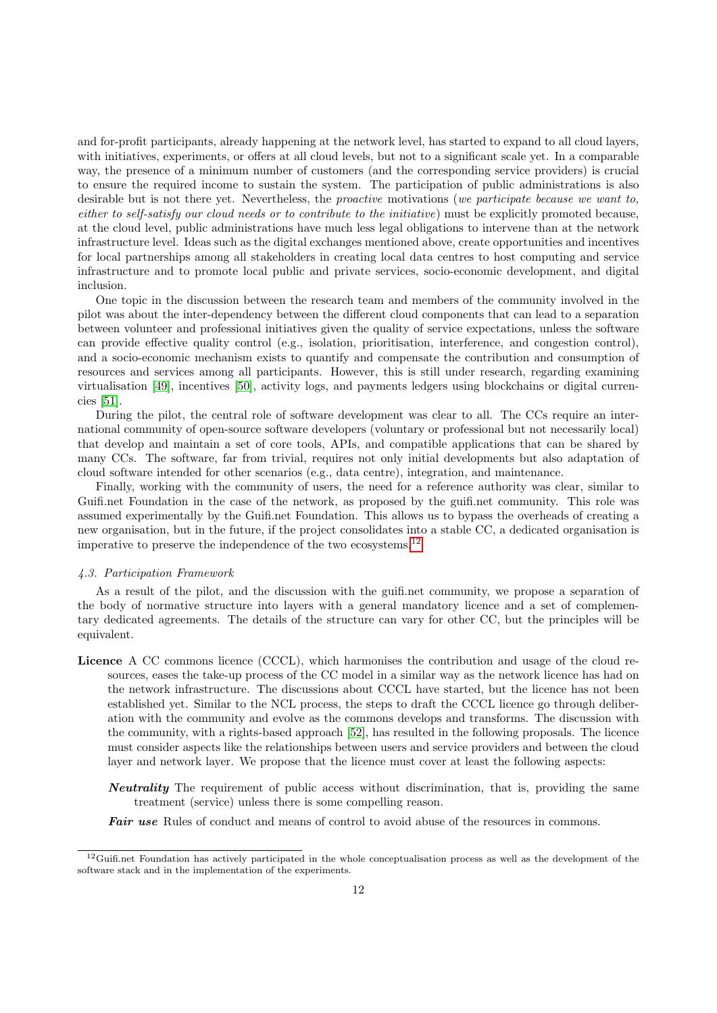and for-profit participants, already happening at the network level, has started to expand to all cloud layers, with initiatives, experiments, or offers at all cloud levels, but not to a significant scale yet. In a comparable way, the presence of a minimum number of customers (and the corresponding service providers) is crucial to ensure the required income to sustain the system. The participation of public administrations is also desirable but is not there yet. Nevertheless, the *proactive* motivations (we participate because we want to, either to self-satisfy our cloud needs or to contribute to the initiative) must be explicitly promoted because, at the cloud level, public administrations have much less legal obligations to intervene than at the network infrastructure level. Ideas such as the digital exchanges mentioned above, create opportunities and incentives for local partnerships among all stakeholders in creating local data centres to host computing and service infrastructure and to promote local public and private services, socio-economic development, and digital inclusion.

One topic in the discussion between the research team and members of the community involved in the pilot was about the inter-dependency between the different cloud components that can lead to a separation between volunteer and professional initiatives given the quality of service expectations, unless the software can provide effective quality control (e.g., isolation, prioritisation, interference, and congestion control), and a socio-economic mechanism exists to quantify and compensate the contribution and consumption of resources and services among all participants. However, this is still under research, regarding examining virtualisation [\[49\]](#page-31-20), incentives [\[50\]](#page-31-21), activity logs, and payments ledgers using blockchains or digital currencies [\[51\]](#page-31-22).

During the pilot, the central role of software development was clear to all. The CCs require an international community of open-source software developers (voluntary or professional but not necessarily local) that develop and maintain a set of core tools, APIs, and compatible applications that can be shared by many CCs. The software, far from trivial, requires not only initial developments but also adaptation of cloud software intended for other scenarios (e.g., data centre), integration, and maintenance.

Finally, working with the community of users, the need for a reference authority was clear, similar to Guifi.net Foundation in the case of the network, as proposed by the guifi.net community. This role was assumed experimentally by the Guifi.net Foundation. This allows us to bypass the overheads of creating a new organisation, but in the future, if the project consolidates into a stable CC, a dedicated organisation is imperative to preserve the independence of the two ecosystems.[12](#page-11-0)

#### 4.3. Participation Framework

As a result of the pilot, and the discussion with the guifi.net community, we propose a separation of the body of normative structure into layers with a general mandatory licence and a set of complementary dedicated agreements. The details of the structure can vary for other CC, but the principles will be equivalent.

- Licence A CC commons licence (CCCL), which harmonises the contribution and usage of the cloud resources, eases the take-up process of the CC model in a similar way as the network licence has had on the network infrastructure. The discussions about CCCL have started, but the licence has not been established yet. Similar to the NCL process, the steps to draft the CCCL licence go through deliberation with the community and evolve as the commons develops and transforms. The discussion with the community, with a rights-based approach [\[52\]](#page-31-23), has resulted in the following proposals. The licence must consider aspects like the relationships between users and service providers and between the cloud layer and network layer. We propose that the licence must cover at least the following aspects:
	- **Neutrality** The requirement of public access without discrimination, that is, providing the same treatment (service) unless there is some compelling reason.
	- Fair use Rules of conduct and means of control to avoid abuse of the resources in commons.

<span id="page-11-0"></span> $12$ Guifi.net Foundation has actively participated in the whole conceptualisation process as well as the development of the software stack and in the implementation of the experiments.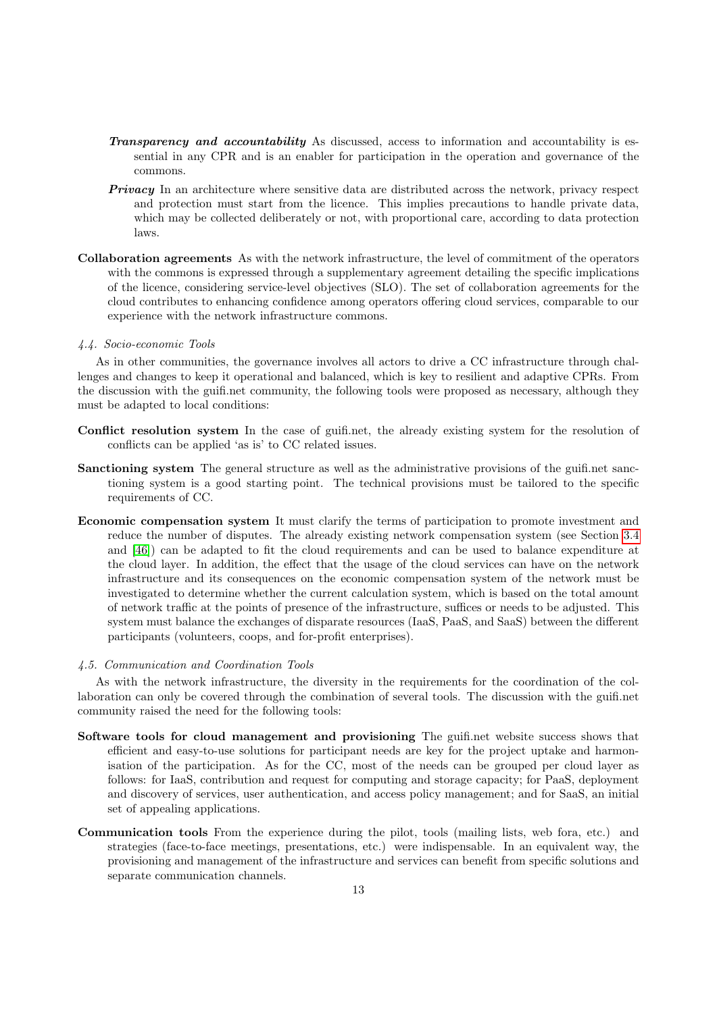- **Transparency and accountability** As discussed, access to information and accountability is essential in any CPR and is an enabler for participation in the operation and governance of the commons.
- **Privacy** In an architecture where sensitive data are distributed across the network, privacy respect and protection must start from the licence. This implies precautions to handle private data, which may be collected deliberately or not, with proportional care, according to data protection laws.
- Collaboration agreements As with the network infrastructure, the level of commitment of the operators with the commons is expressed through a supplementary agreement detailing the specific implications of the licence, considering service-level objectives (SLO). The set of collaboration agreements for the cloud contributes to enhancing confidence among operators offering cloud services, comparable to our experience with the network infrastructure commons.

## 4.4. Socio-economic Tools

As in other communities, the governance involves all actors to drive a CC infrastructure through challenges and changes to keep it operational and balanced, which is key to resilient and adaptive CPRs. From the discussion with the guifi.net community, the following tools were proposed as necessary, although they must be adapted to local conditions:

- Conflict resolution system In the case of guifi.net, the already existing system for the resolution of conflicts can be applied 'as is' to CC related issues.
- Sanctioning system The general structure as well as the administrative provisions of the guifi.net sanctioning system is a good starting point. The technical provisions must be tailored to the specific requirements of CC.
- Economic compensation system It must clarify the terms of participation to promote investment and reduce the number of disputes. The already existing network compensation system (see Section [3.4](#page-7-0) and [\[46\]](#page-31-17)) can be adapted to fit the cloud requirements and can be used to balance expenditure at the cloud layer. In addition, the effect that the usage of the cloud services can have on the network infrastructure and its consequences on the economic compensation system of the network must be investigated to determine whether the current calculation system, which is based on the total amount of network traffic at the points of presence of the infrastructure, suffices or needs to be adjusted. This system must balance the exchanges of disparate resources (IaaS, PaaS, and SaaS) between the different participants (volunteers, coops, and for-profit enterprises).
- 4.5. Communication and Coordination Tools

As with the network infrastructure, the diversity in the requirements for the coordination of the collaboration can only be covered through the combination of several tools. The discussion with the guifi.net community raised the need for the following tools:

- Software tools for cloud management and provisioning The guifi.net website success shows that efficient and easy-to-use solutions for participant needs are key for the project uptake and harmonisation of the participation. As for the CC, most of the needs can be grouped per cloud layer as follows: for IaaS, contribution and request for computing and storage capacity; for PaaS, deployment and discovery of services, user authentication, and access policy management; and for SaaS, an initial set of appealing applications.
- Communication tools From the experience during the pilot, tools (mailing lists, web fora, etc.) and strategies (face-to-face meetings, presentations, etc.) were indispensable. In an equivalent way, the provisioning and management of the infrastructure and services can benefit from specific solutions and separate communication channels.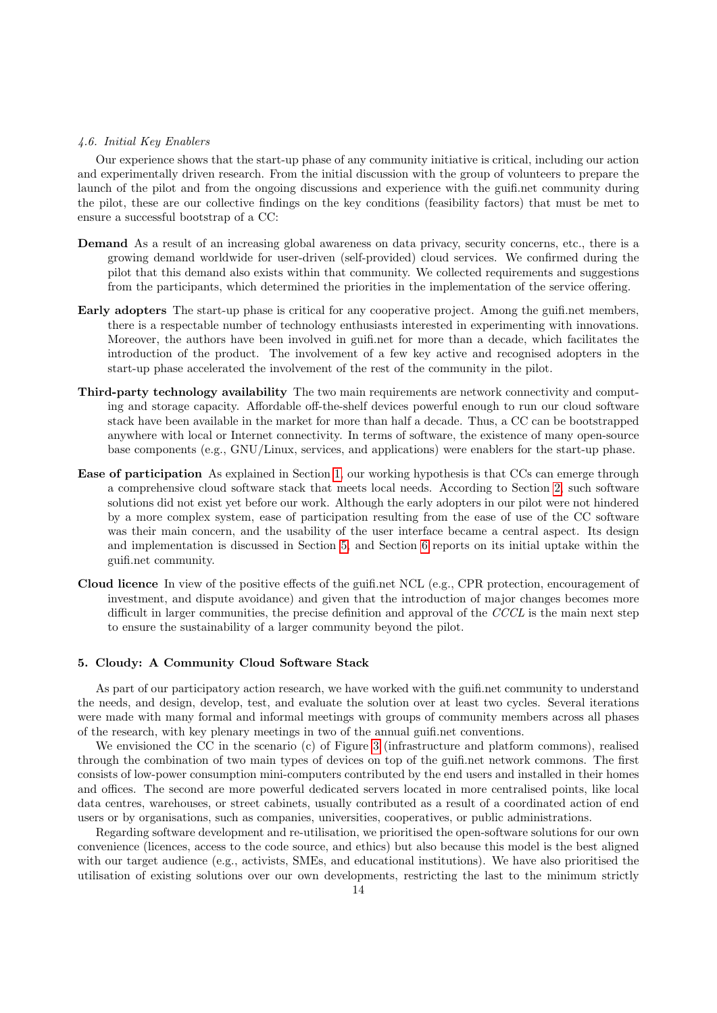## 4.6. Initial Key Enablers

Our experience shows that the start-up phase of any community initiative is critical, including our action and experimentally driven research. From the initial discussion with the group of volunteers to prepare the launch of the pilot and from the ongoing discussions and experience with the guifi.net community during the pilot, these are our collective findings on the key conditions (feasibility factors) that must be met to ensure a successful bootstrap of a CC:

- Demand As a result of an increasing global awareness on data privacy, security concerns, etc., there is a growing demand worldwide for user-driven (self-provided) cloud services. We confirmed during the pilot that this demand also exists within that community. We collected requirements and suggestions from the participants, which determined the priorities in the implementation of the service offering.
- Early adopters The start-up phase is critical for any cooperative project. Among the guifi.net members, there is a respectable number of technology enthusiasts interested in experimenting with innovations. Moreover, the authors have been involved in guifi.net for more than a decade, which facilitates the introduction of the product. The involvement of a few key active and recognised adopters in the start-up phase accelerated the involvement of the rest of the community in the pilot.
- Third-party technology availability The two main requirements are network connectivity and computing and storage capacity. Affordable off-the-shelf devices powerful enough to run our cloud software stack have been available in the market for more than half a decade. Thus, a CC can be bootstrapped anywhere with local or Internet connectivity. In terms of software, the existence of many open-source base components (e.g., GNU/Linux, services, and applications) were enablers for the start-up phase.
- Ease of participation As explained in Section [1,](#page-0-0) our working hypothesis is that CCs can emerge through a comprehensive cloud software stack that meets local needs. According to Section [2,](#page-2-0) such software solutions did not exist yet before our work. Although the early adopters in our pilot were not hindered by a more complex system, ease of participation resulting from the ease of use of the CC software was their main concern, and the usability of the user interface became a central aspect. Its design and implementation is discussed in Section [5,](#page-13-0) and Section [6](#page-18-0) reports on its initial uptake within the guifi.net community.
- Cloud licence In view of the positive effects of the guifi.net NCL (e.g., CPR protection, encouragement of investment, and dispute avoidance) and given that the introduction of major changes becomes more difficult in larger communities, the precise definition and approval of the CCCL is the main next step to ensure the sustainability of a larger community beyond the pilot.

## <span id="page-13-0"></span>5. Cloudy: A Community Cloud Software Stack

As part of our participatory action research, we have worked with the guifi.net community to understand the needs, and design, develop, test, and evaluate the solution over at least two cycles. Several iterations were made with many formal and informal meetings with groups of community members across all phases of the research, with key plenary meetings in two of the annual guifi.net conventions.

We envisioned the CC in the scenario (c) of Figure [3](#page-10-0) (infrastructure and platform commons), realised through the combination of two main types of devices on top of the guifi.net network commons. The first consists of low-power consumption mini-computers contributed by the end users and installed in their homes and offices. The second are more powerful dedicated servers located in more centralised points, like local data centres, warehouses, or street cabinets, usually contributed as a result of a coordinated action of end users or by organisations, such as companies, universities, cooperatives, or public administrations.

Regarding software development and re-utilisation, we prioritised the open-software solutions for our own convenience (licences, access to the code source, and ethics) but also because this model is the best aligned with our target audience (e.g., activists, SMEs, and educational institutions). We have also prioritised the utilisation of existing solutions over our own developments, restricting the last to the minimum strictly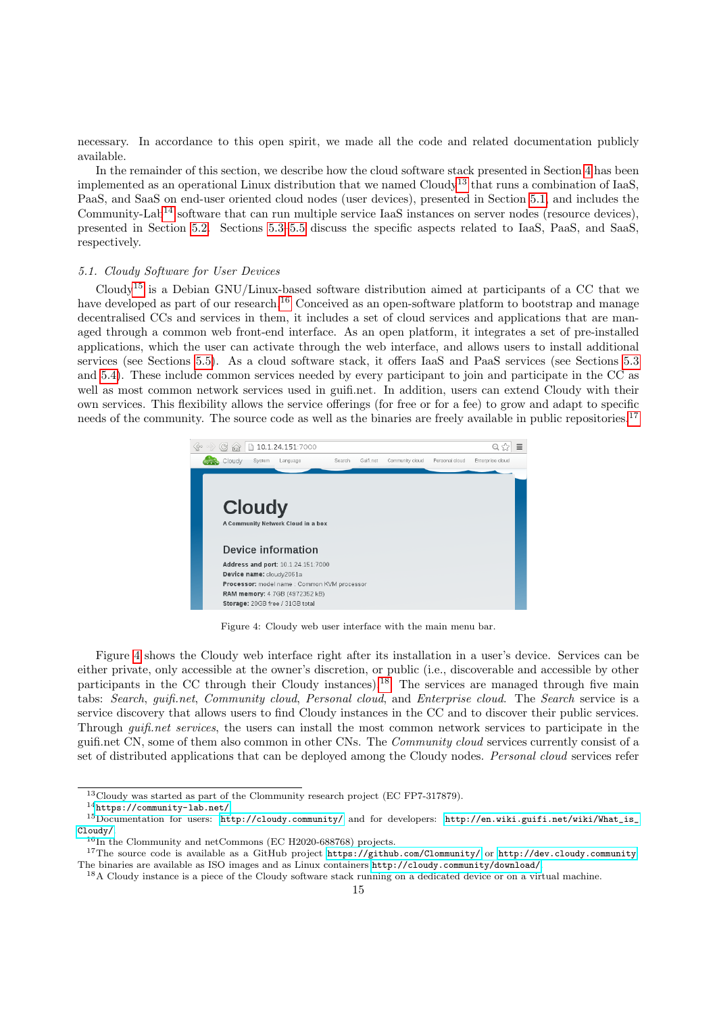necessary. In accordance to this open spirit, we made all the code and related documentation publicly available.

In the remainder of this section, we describe how the cloud software stack presented in Section [4](#page-8-0) has been implemented as an operational Linux distribution that we named  $Cloudv<sup>13</sup>$  $Cloudv<sup>13</sup>$  $Cloudv<sup>13</sup>$  that runs a combination of IaaS, PaaS, and SaaS on end-user oriented cloud nodes (user devices), presented in Section [5.1,](#page-14-1) and includes the Community-Lab<sup>[14](#page-14-2)</sup> software that can run multiple service IaaS instances on server nodes (resource devices), presented in Section [5.2.](#page-15-0) Sections [5.3–](#page-15-1)[5.5](#page-17-0) discuss the specific aspects related to IaaS, PaaS, and SaaS, respectively.

# <span id="page-14-1"></span>5.1. Cloudy Software for User Devices

Cloudy[15](#page-14-3) is a Debian GNU/Linux-based software distribution aimed at participants of a CC that we have developed as part of our research.<sup>[16](#page-14-4)</sup> Conceived as an open-software platform to bootstrap and manage decentralised CCs and services in them, it includes a set of cloud services and applications that are managed through a common web front-end interface. As an open platform, it integrates a set of pre-installed applications, which the user can activate through the web interface, and allows users to install additional services (see Sections [5.5\)](#page-17-0). As a cloud software stack, it offers IaaS and PaaS services (see Sections [5.3](#page-15-1) and [5.4\)](#page-17-1). These include common services needed by every participant to join and participate in the CC as well as most common network services used in guifi.net. In addition, users can extend Cloudy with their own services. This flexibility allows the service offerings (for free or for a fee) to grow and adapt to specific needs of the community. The source code as well as the binaries are freely available in public repositories.<sup>[17](#page-14-5)</sup>

<span id="page-14-6"></span>

Figure 4: Cloudy web user interface with the main menu bar.

Figure [4](#page-14-6) shows the Cloudy web interface right after its installation in a user's device. Services can be either private, only accessible at the owner's discretion, or public (i.e., discoverable and accessible by other participants in the CC through their Cloudy instances).<sup>[18](#page-14-7)</sup> The services are managed through five main tabs: Search, guifi.net, Community cloud, Personal cloud, and Enterprise cloud. The Search service is a service discovery that allows users to find Cloudy instances in the CC and to discover their public services. Through guifi.net services, the users can install the most common network services to participate in the guifi.net CN, some of them also common in other CNs. The Community cloud services currently consist of a set of distributed applications that can be deployed among the Cloudy nodes. Personal cloud services refer

<span id="page-14-0"></span><sup>&</sup>lt;sup>13</sup>Cloudy was started as part of the Clommunity research project (EC FP7-317879).

<span id="page-14-3"></span><span id="page-14-2"></span><sup>14</sup><https://community-lab.net/>

<sup>15</sup>Documentation for users: <http://cloudy.community/> and for developers: [http://en.wiki.guifi.net/wiki/What\\_is\\_](http://en.wiki.guifi.net/wiki/What_is_Cloudy/) [Cloudy/](http://en.wiki.guifi.net/wiki/What_is_Cloudy/).

<span id="page-14-5"></span><span id="page-14-4"></span> $16$ In the Clommunity and netCommons (EC H2020-688768) projects.

<sup>17</sup>The source code is available as a GitHub project <https://github.com/Clommunity/> or <http://dev.cloudy.community>. The binaries are available as ISO images and as Linux containers <http://cloudy.community/download/>.

<span id="page-14-7"></span><sup>18</sup>A Cloudy instance is a piece of the Cloudy software stack running on a dedicated device or on a virtual machine.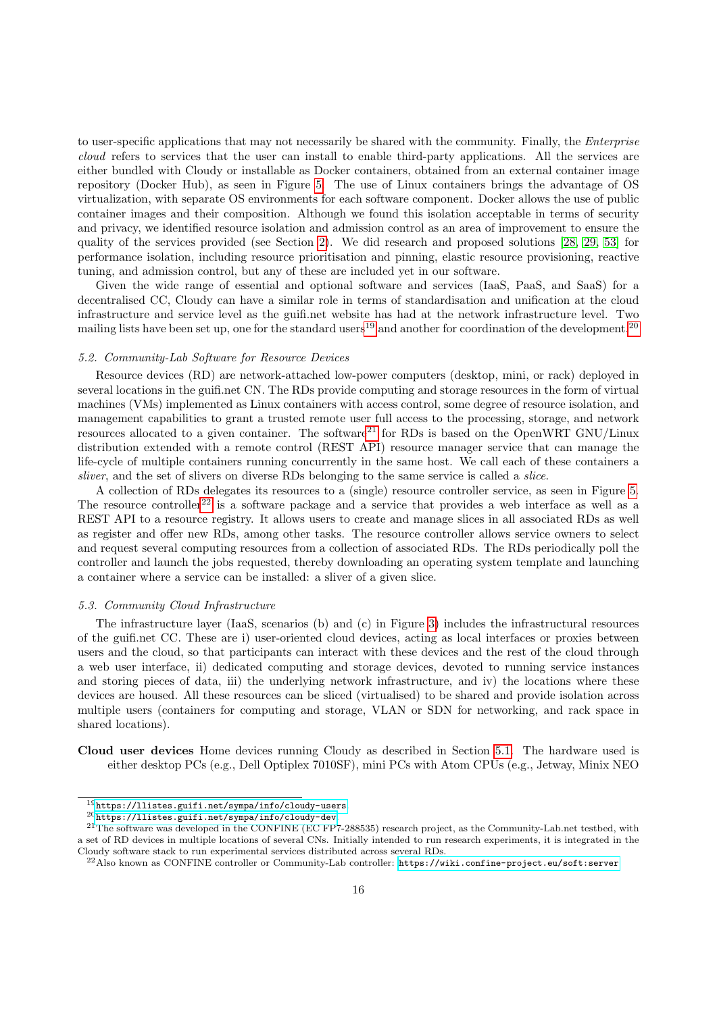to user-specific applications that may not necessarily be shared with the community. Finally, the Enterprise cloud refers to services that the user can install to enable third-party applications. All the services are either bundled with Cloudy or installable as Docker containers, obtained from an external container image repository (Docker Hub), as seen in Figure [5.](#page-16-0) The use of Linux containers brings the advantage of OS virtualization, with separate OS environments for each software component. Docker allows the use of public container images and their composition. Although we found this isolation acceptable in terms of security and privacy, we identified resource isolation and admission control as an area of improvement to ensure the quality of the services provided (see Section [2\)](#page-2-0). We did research and proposed solutions [\[28,](#page-30-26) [29,](#page-31-0) [53\]](#page-32-0) for performance isolation, including resource prioritisation and pinning, elastic resource provisioning, reactive tuning, and admission control, but any of these are included yet in our software.

Given the wide range of essential and optional software and services (IaaS, PaaS, and SaaS) for a decentralised CC, Cloudy can have a similar role in terms of standardisation and unification at the cloud infrastructure and service level as the guifi.net website has had at the network infrastructure level. Two mailing lists have been set up, one for the standard users<sup>[19](#page-15-2)</sup> and another for coordination of the development.<sup>[20](#page-15-3)</sup>

## <span id="page-15-0"></span>5.2. Community-Lab Software for Resource Devices

Resource devices (RD) are network-attached low-power computers (desktop, mini, or rack) deployed in several locations in the guifi.net CN. The RDs provide computing and storage resources in the form of virtual machines (VMs) implemented as Linux containers with access control, some degree of resource isolation, and management capabilities to grant a trusted remote user full access to the processing, storage, and network resources allocated to a given container. The software<sup>[21](#page-15-4)</sup> for RDs is based on the OpenWRT GNU/Linux distribution extended with a remote control (REST API) resource manager service that can manage the life-cycle of multiple containers running concurrently in the same host. We call each of these containers a sliver, and the set of slivers on diverse RDs belonging to the same service is called a *slice*.

A collection of RDs delegates its resources to a (single) resource controller service, as seen in Figure [5.](#page-16-0) The resource controller<sup>[22](#page-15-5)</sup> is a software package and a service that provides a web interface as well as a REST API to a resource registry. It allows users to create and manage slices in all associated RDs as well as register and offer new RDs, among other tasks. The resource controller allows service owners to select and request several computing resources from a collection of associated RDs. The RDs periodically poll the controller and launch the jobs requested, thereby downloading an operating system template and launching a container where a service can be installed: a sliver of a given slice.

## <span id="page-15-1"></span>5.3. Community Cloud Infrastructure

The infrastructure layer (IaaS, scenarios (b) and (c) in Figure [3\)](#page-10-0) includes the infrastructural resources of the guifi.net CC. These are i) user-oriented cloud devices, acting as local interfaces or proxies between users and the cloud, so that participants can interact with these devices and the rest of the cloud through a web user interface, ii) dedicated computing and storage devices, devoted to running service instances and storing pieces of data, iii) the underlying network infrastructure, and iv) the locations where these devices are housed. All these resources can be sliced (virtualised) to be shared and provide isolation across multiple users (containers for computing and storage, VLAN or SDN for networking, and rack space in shared locations).

Cloud user devices Home devices running Cloudy as described in Section [5.1.](#page-14-1) The hardware used is either desktop PCs (e.g., Dell Optiplex 7010SF), mini PCs with Atom CPUs (e.g., Jetway, Minix NEO

<span id="page-15-2"></span> $^{19}{\tt \tt https://llistes.guifi.net/sympa/info/cloudy-users}.$  $^{19}{\tt \tt https://llistes.guifi.net/sympa/info/cloudy-users}.$  $^{19}{\tt \tt https://llistes.guifi.net/sympa/info/cloudy-users}.$ 

<span id="page-15-4"></span><span id="page-15-3"></span><sup>20</sup><https://llistes.guifi.net/sympa/info/cloudy-dev>.

 $^{21}$ The software was developed in the CONFINE (EC FP7-288535) research project, as the Community-Lab.net testbed, with a set of RD devices in multiple locations of several CNs. Initially intended to run research experiments, it is integrated in the Cloudy software stack to run experimental services distributed across several RDs.

<span id="page-15-5"></span><sup>22</sup>Also known as CONFINE controller or Community-Lab controller: <https://wiki.confine-project.eu/soft:server>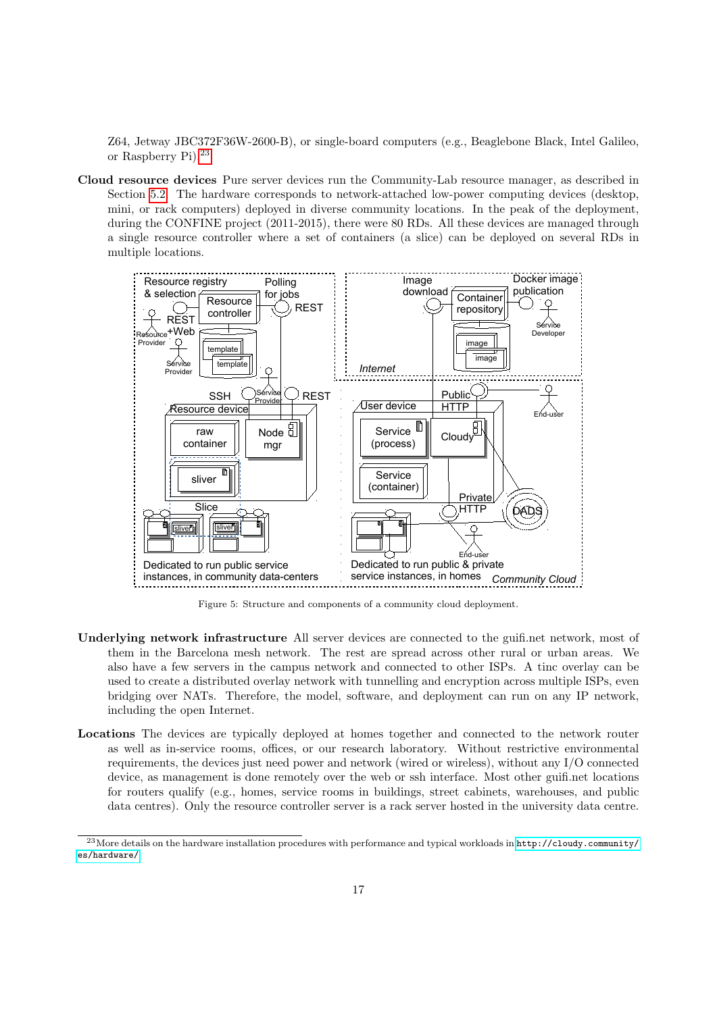Z64, Jetway JBC372F36W-2600-B), or single-board computers (e.g., Beaglebone Black, Intel Galileo, or Raspberry Pi).[23](#page-16-1)

Cloud resource devices Pure server devices run the Community-Lab resource manager, as described in Section [5.2.](#page-15-0) The hardware corresponds to network-attached low-power computing devices (desktop, mini, or rack computers) deployed in diverse community locations. In the peak of the deployment, during the CONFINE project (2011-2015), there were 80 RDs. All these devices are managed through a single resource controller where a set of containers (a slice) can be deployed on several RDs in multiple locations.

<span id="page-16-0"></span>

Figure 5: Structure and components of a community cloud deployment.

- Underlying network infrastructure All server devices are connected to the guifi.net network, most of them in the Barcelona mesh network. The rest are spread across other rural or urban areas. We also have a few servers in the campus network and connected to other ISPs. A tinc overlay can be used to create a distributed overlay network with tunnelling and encryption across multiple ISPs, even bridging over NATs. Therefore, the model, software, and deployment can run on any IP network, including the open Internet.
- Locations The devices are typically deployed at homes together and connected to the network router as well as in-service rooms, offices, or our research laboratory. Without restrictive environmental requirements, the devices just need power and network (wired or wireless), without any I/O connected device, as management is done remotely over the web or ssh interface. Most other guifi.net locations for routers qualify (e.g., homes, service rooms in buildings, street cabinets, warehouses, and public data centres). Only the resource controller server is a rack server hosted in the university data centre.

<span id="page-16-1"></span><sup>23</sup>More details on the hardware installation procedures with performance and typical workloads in [http://cloudy.community/](http://cloudy.community/es/hardware/) [es/hardware/](http://cloudy.community/es/hardware/).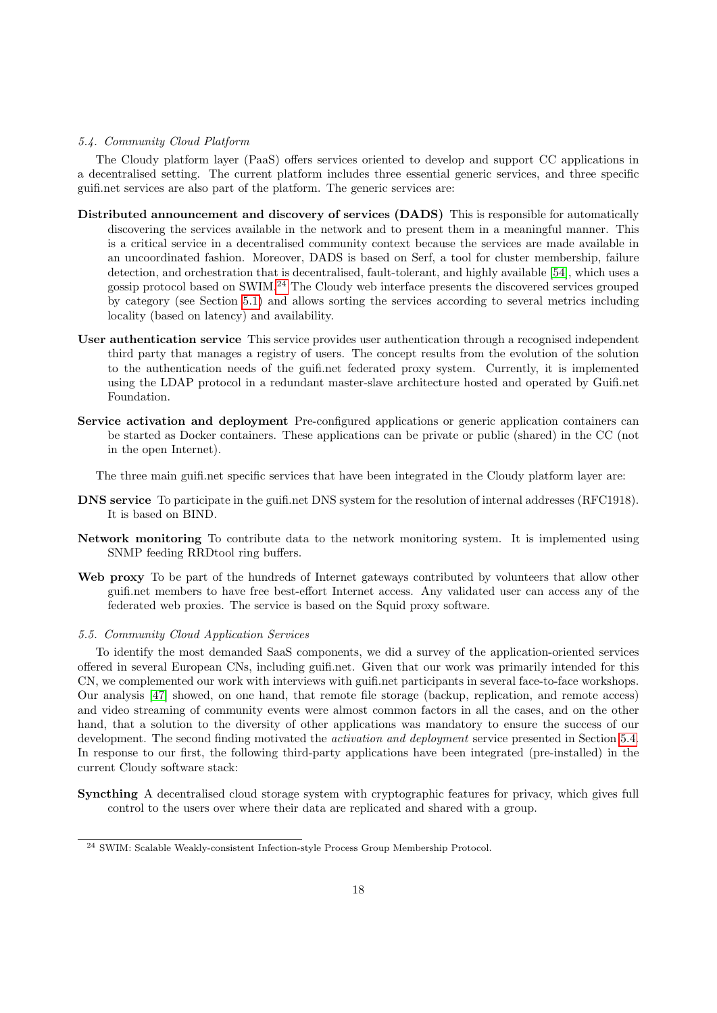## <span id="page-17-1"></span>5.4. Community Cloud Platform

The Cloudy platform layer (PaaS) offers services oriented to develop and support CC applications in a decentralised setting. The current platform includes three essential generic services, and three specific guifi.net services are also part of the platform. The generic services are:

- Distributed announcement and discovery of services (DADS) This is responsible for automatically discovering the services available in the network and to present them in a meaningful manner. This is a critical service in a decentralised community context because the services are made available in an uncoordinated fashion. Moreover, DADS is based on Serf, a tool for cluster membership, failure detection, and orchestration that is decentralised, fault-tolerant, and highly available [\[54\]](#page-32-1), which uses a gossip protocol based on SWIM.[24](#page-17-2) The Cloudy web interface presents the discovered services grouped by category (see Section [5.1\)](#page-14-1) and allows sorting the services according to several metrics including locality (based on latency) and availability.
- User authentication service This service provides user authentication through a recognised independent third party that manages a registry of users. The concept results from the evolution of the solution to the authentication needs of the guifi.net federated proxy system. Currently, it is implemented using the LDAP protocol in a redundant master-slave architecture hosted and operated by Guifi.net Foundation.
- Service activation and deployment Pre-configured applications or generic application containers can be started as Docker containers. These applications can be private or public (shared) in the CC (not in the open Internet).

The three main guifi.net specific services that have been integrated in the Cloudy platform layer are:

- DNS service To participate in the guifi.net DNS system for the resolution of internal addresses (RFC1918). It is based on BIND.
- Network monitoring To contribute data to the network monitoring system. It is implemented using SNMP feeding RRDtool ring buffers.
- Web proxy To be part of the hundreds of Internet gateways contributed by volunteers that allow other guifi.net members to have free best-effort Internet access. Any validated user can access any of the federated web proxies. The service is based on the Squid proxy software.

## <span id="page-17-0"></span>5.5. Community Cloud Application Services

To identify the most demanded SaaS components, we did a survey of the application-oriented services offered in several European CNs, including guifi.net. Given that our work was primarily intended for this CN, we complemented our work with interviews with guifi.net participants in several face-to-face workshops. Our analysis [\[47\]](#page-31-18) showed, on one hand, that remote file storage (backup, replication, and remote access) and video streaming of community events were almost common factors in all the cases, and on the other hand, that a solution to the diversity of other applications was mandatory to ensure the success of our development. The second finding motivated the *activation and deployment* service presented in Section [5.4.](#page-17-1) In response to our first, the following third-party applications have been integrated (pre-installed) in the current Cloudy software stack:

Syncthing A decentralised cloud storage system with cryptographic features for privacy, which gives full control to the users over where their data are replicated and shared with a group.

<span id="page-17-2"></span><sup>24</sup> SWIM: Scalable Weakly-consistent Infection-style Process Group Membership Protocol.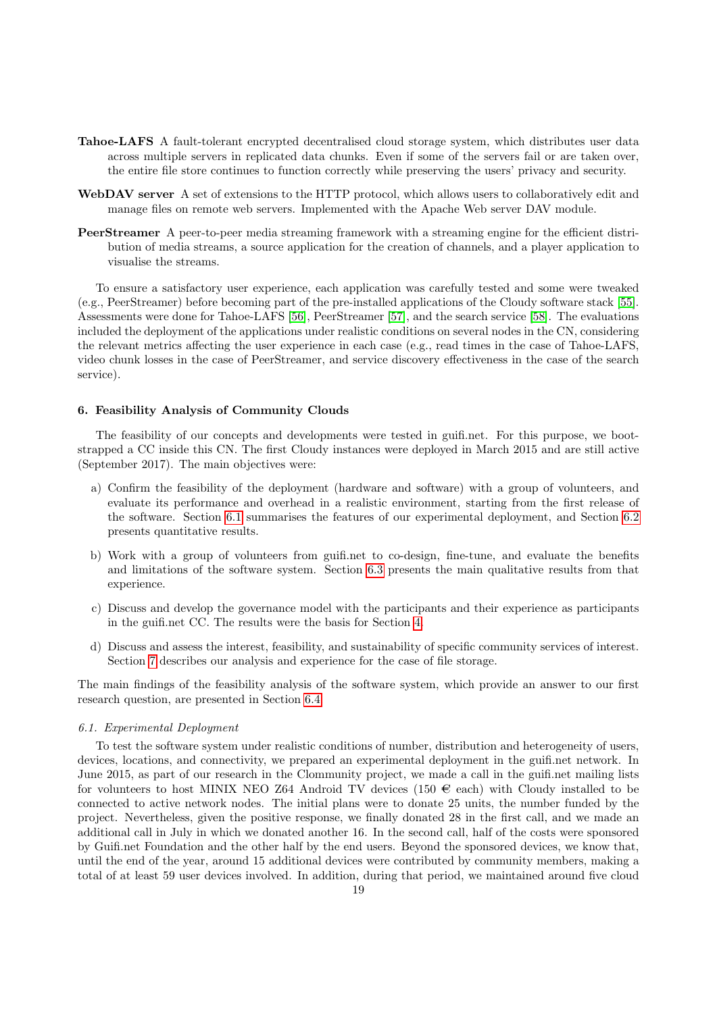- Tahoe-LAFS A fault-tolerant encrypted decentralised cloud storage system, which distributes user data across multiple servers in replicated data chunks. Even if some of the servers fail or are taken over, the entire file store continues to function correctly while preserving the users' privacy and security.
- WebDAV server A set of extensions to the HTTP protocol, which allows users to collaboratively edit and manage files on remote web servers. Implemented with the Apache Web server DAV module.
- PeerStreamer A peer-to-peer media streaming framework with a streaming engine for the efficient distribution of media streams, a source application for the creation of channels, and a player application to visualise the streams.

To ensure a satisfactory user experience, each application was carefully tested and some were tweaked (e.g., PeerStreamer) before becoming part of the pre-installed applications of the Cloudy software stack [\[55\]](#page-32-2). Assessments were done for Tahoe-LAFS [\[56\]](#page-32-3), PeerStreamer [\[57\]](#page-32-4), and the search service [\[58\]](#page-32-5). The evaluations included the deployment of the applications under realistic conditions on several nodes in the CN, considering the relevant metrics affecting the user experience in each case (e.g., read times in the case of Tahoe-LAFS, video chunk losses in the case of PeerStreamer, and service discovery effectiveness in the case of the search service).

## <span id="page-18-0"></span>6. Feasibility Analysis of Community Clouds

The feasibility of our concepts and developments were tested in guifi.net. For this purpose, we bootstrapped a CC inside this CN. The first Cloudy instances were deployed in March 2015 and are still active (September 2017). The main objectives were:

- a) Confirm the feasibility of the deployment (hardware and software) with a group of volunteers, and evaluate its performance and overhead in a realistic environment, starting from the first release of the software. Section [6.1](#page-18-1) summarises the features of our experimental deployment, and Section [6.2](#page-19-0) presents quantitative results.
- b) Work with a group of volunteers from guifi.net to co-design, fine-tune, and evaluate the benefits and limitations of the software system. Section [6.3](#page-19-1) presents the main qualitative results from that experience.
- c) Discuss and develop the governance model with the participants and their experience as participants in the guifi.net CC. The results were the basis for Section [4.](#page-8-0)
- d) Discuss and assess the interest, feasibility, and sustainability of specific community services of interest. Section [7](#page-20-0) describes our analysis and experience for the case of file storage.

The main findings of the feasibility analysis of the software system, which provide an answer to our first research question, are presented in Section [6.4.](#page-20-1)

## <span id="page-18-1"></span>6.1. Experimental Deployment

To test the software system under realistic conditions of number, distribution and heterogeneity of users, devices, locations, and connectivity, we prepared an experimental deployment in the guifi.net network. In June 2015, as part of our research in the Clommunity project, we made a call in the guifi.net mailing lists for volunteers to host MINIX NEO Z64 Android TV devices (150  $\in$  each) with Cloudy installed to be connected to active network nodes. The initial plans were to donate 25 units, the number funded by the project. Nevertheless, given the positive response, we finally donated 28 in the first call, and we made an additional call in July in which we donated another 16. In the second call, half of the costs were sponsored by Guifi.net Foundation and the other half by the end users. Beyond the sponsored devices, we know that, until the end of the year, around 15 additional devices were contributed by community members, making a total of at least 59 user devices involved. In addition, during that period, we maintained around five cloud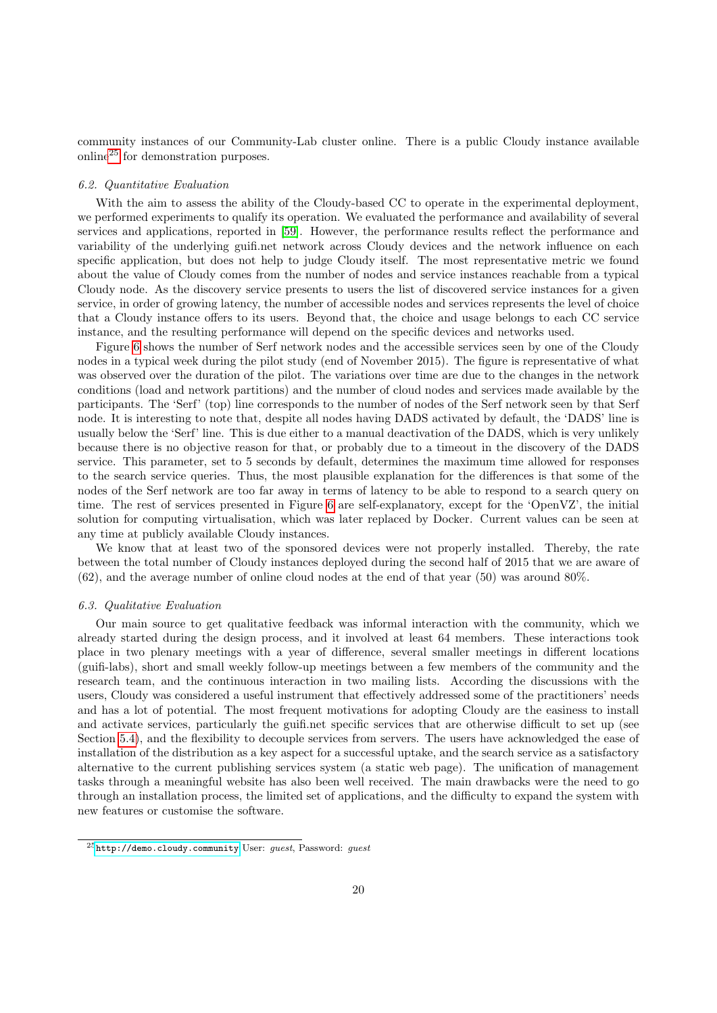community instances of our Community-Lab cluster online. There is a public Cloudy instance available online[25](#page-19-2) for demonstration purposes.

## <span id="page-19-0"></span>6.2. Quantitative Evaluation

With the aim to assess the ability of the Cloudy-based CC to operate in the experimental deployment. we performed experiments to qualify its operation. We evaluated the performance and availability of several services and applications, reported in [\[59\]](#page-32-6). However, the performance results reflect the performance and variability of the underlying guifi.net network across Cloudy devices and the network influence on each specific application, but does not help to judge Cloudy itself. The most representative metric we found about the value of Cloudy comes from the number of nodes and service instances reachable from a typical Cloudy node. As the discovery service presents to users the list of discovered service instances for a given service, in order of growing latency, the number of accessible nodes and services represents the level of choice that a Cloudy instance offers to its users. Beyond that, the choice and usage belongs to each CC service instance, and the resulting performance will depend on the specific devices and networks used.

Figure [6](#page-20-2) shows the number of Serf network nodes and the accessible services seen by one of the Cloudy nodes in a typical week during the pilot study (end of November 2015). The figure is representative of what was observed over the duration of the pilot. The variations over time are due to the changes in the network conditions (load and network partitions) and the number of cloud nodes and services made available by the participants. The 'Serf' (top) line corresponds to the number of nodes of the Serf network seen by that Serf node. It is interesting to note that, despite all nodes having DADS activated by default, the 'DADS' line is usually below the 'Serf' line. This is due either to a manual deactivation of the DADS, which is very unlikely because there is no objective reason for that, or probably due to a timeout in the discovery of the DADS service. This parameter, set to 5 seconds by default, determines the maximum time allowed for responses to the search service queries. Thus, the most plausible explanation for the differences is that some of the nodes of the Serf network are too far away in terms of latency to be able to respond to a search query on time. The rest of services presented in Figure [6](#page-20-2) are self-explanatory, except for the 'OpenVZ', the initial solution for computing virtualisation, which was later replaced by Docker. Current values can be seen at any time at publicly available Cloudy instances.

We know that at least two of the sponsored devices were not properly installed. Thereby, the rate between the total number of Cloudy instances deployed during the second half of 2015 that we are aware of (62), and the average number of online cloud nodes at the end of that year (50) was around 80%.

#### <span id="page-19-1"></span>6.3. Qualitative Evaluation

Our main source to get qualitative feedback was informal interaction with the community, which we already started during the design process, and it involved at least 64 members. These interactions took place in two plenary meetings with a year of difference, several smaller meetings in different locations (guifi-labs), short and small weekly follow-up meetings between a few members of the community and the research team, and the continuous interaction in two mailing lists. According the discussions with the users, Cloudy was considered a useful instrument that effectively addressed some of the practitioners' needs and has a lot of potential. The most frequent motivations for adopting Cloudy are the easiness to install and activate services, particularly the guifi.net specific services that are otherwise difficult to set up (see Section [5.4\)](#page-17-1), and the flexibility to decouple services from servers. The users have acknowledged the ease of installation of the distribution as a key aspect for a successful uptake, and the search service as a satisfactory alternative to the current publishing services system (a static web page). The unification of management tasks through a meaningful website has also been well received. The main drawbacks were the need to go through an installation process, the limited set of applications, and the difficulty to expand the system with new features or customise the software.

<span id="page-19-2"></span> $^{25}$ <http://demo.cloudy.community> User: guest, Password: guest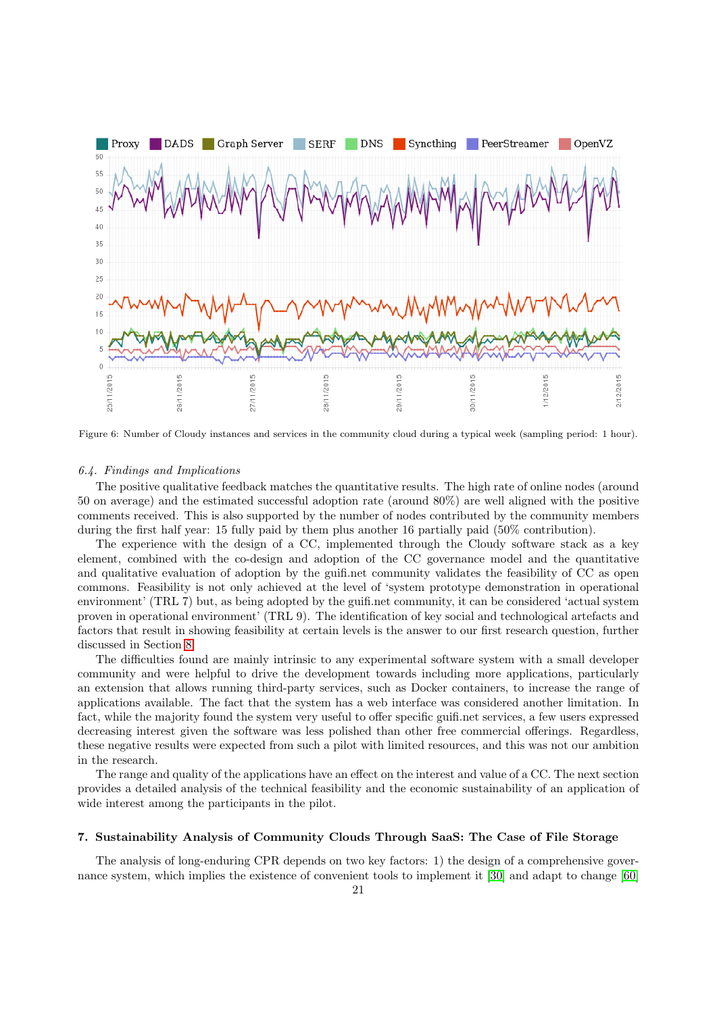<span id="page-20-2"></span>

Figure 6: Number of Cloudy instances and services in the community cloud during a typical week (sampling period: 1 hour).

#### <span id="page-20-1"></span>6.4. Findings and Implications

The positive qualitative feedback matches the quantitative results. The high rate of online nodes (around 50 on average) and the estimated successful adoption rate (around 80%) are well aligned with the positive comments received. This is also supported by the number of nodes contributed by the community members during the first half year: 15 fully paid by them plus another 16 partially paid (50% contribution).

The experience with the design of a CC, implemented through the Cloudy software stack as a key element, combined with the co-design and adoption of the CC governance model and the quantitative and qualitative evaluation of adoption by the guifi.net community validates the feasibility of CC as open commons. Feasibility is not only achieved at the level of 'system prototype demonstration in operational environment' (TRL 7) but, as being adopted by the guifi.net community, it can be considered 'actual system proven in operational environment' (TRL 9). The identification of key social and technological artefacts and factors that result in showing feasibility at certain levels is the answer to our first research question, further discussed in Section [8.](#page-25-0)

The difficulties found are mainly intrinsic to any experimental software system with a small developer community and were helpful to drive the development towards including more applications, particularly an extension that allows running third-party services, such as Docker containers, to increase the range of applications available. The fact that the system has a web interface was considered another limitation. In fact, while the majority found the system very useful to offer specific guifi.net services, a few users expressed decreasing interest given the software was less polished than other free commercial offerings. Regardless, these negative results were expected from such a pilot with limited resources, and this was not our ambition in the research.

The range and quality of the applications have an effect on the interest and value of a CC. The next section provides a detailed analysis of the technical feasibility and the economic sustainability of an application of wide interest among the participants in the pilot.

## <span id="page-20-0"></span>7. Sustainability Analysis of Community Clouds Through SaaS: The Case of File Storage

The analysis of long-enduring CPR depends on two key factors: 1) the design of a comprehensive governance system, which implies the existence of convenient tools to implement it [\[30\]](#page-31-1) and adapt to change [\[60\]](#page-32-7)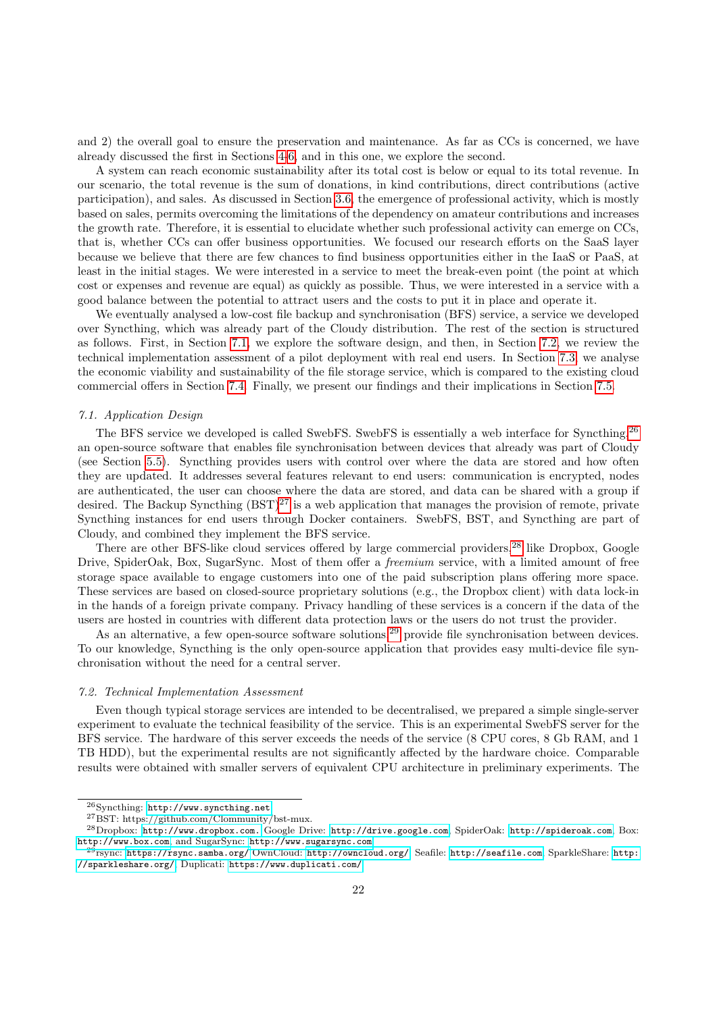and 2) the overall goal to ensure the preservation and maintenance. As far as CCs is concerned, we have already discussed the first in Sections [4](#page-8-0)[-6,](#page-18-0) and in this one, we explore the second.

A system can reach economic sustainability after its total cost is below or equal to its total revenue. In our scenario, the total revenue is the sum of donations, in kind contributions, direct contributions (active participation), and sales. As discussed in Section [3.6,](#page-7-2) the emergence of professional activity, which is mostly based on sales, permits overcoming the limitations of the dependency on amateur contributions and increases the growth rate. Therefore, it is essential to elucidate whether such professional activity can emerge on CCs, that is, whether CCs can offer business opportunities. We focused our research efforts on the SaaS layer because we believe that there are few chances to find business opportunities either in the IaaS or PaaS, at least in the initial stages. We were interested in a service to meet the break-even point (the point at which cost or expenses and revenue are equal) as quickly as possible. Thus, we were interested in a service with a good balance between the potential to attract users and the costs to put it in place and operate it.

We eventually analysed a low-cost file backup and synchronisation (BFS) service, a service we developed over Syncthing, which was already part of the Cloudy distribution. The rest of the section is structured as follows. First, in Section [7.1,](#page-21-0) we explore the software design, and then, in Section [7.2,](#page-21-1) we review the technical implementation assessment of a pilot deployment with real end users. In Section [7.3,](#page-22-0) we analyse the economic viability and sustainability of the file storage service, which is compared to the existing cloud commercial offers in Section [7.4.](#page-23-0) Finally, we present our findings and their implications in Section [7.5.](#page-24-0)

## <span id="page-21-0"></span>7.1. Application Design

The BFS service we developed is called SwebFS. SwebFS is essentially a web interface for Syncthing,<sup>[26](#page-21-2)</sup> an open-source software that enables file synchronisation between devices that already was part of Cloudy (see Section [5.5\)](#page-17-0). Syncthing provides users with control over where the data are stored and how often they are updated. It addresses several features relevant to end users: communication is encrypted, nodes are authenticated, the user can choose where the data are stored, and data can be shared with a group if desired. The Backup Syncthing  $(BST)^{27}$  $(BST)^{27}$  $(BST)^{27}$  is a web application that manages the provision of remote, private Syncthing instances for end users through Docker containers. SwebFS, BST, and Syncthing are part of Cloudy, and combined they implement the BFS service.

There are other BFS-like cloud services offered by large commercial providers,<sup>[28](#page-21-4)</sup> like Dropbox, Google Drive, SpiderOak, Box, SugarSync. Most of them offer a freemium service, with a limited amount of free storage space available to engage customers into one of the paid subscription plans offering more space. These services are based on closed-source proprietary solutions (e.g., the Dropbox client) with data lock-in in the hands of a foreign private company. Privacy handling of these services is a concern if the data of the users are hosted in countries with different data protection laws or the users do not trust the provider.

As an alternative, a few open-source software solutions,<sup>[29](#page-21-5)</sup> provide file synchronisation between devices. To our knowledge, Syncthing is the only open-source application that provides easy multi-device file synchronisation without the need for a central server.

## <span id="page-21-1"></span>7.2. Technical Implementation Assessment

Even though typical storage services are intended to be decentralised, we prepared a simple single-server experiment to evaluate the technical feasibility of the service. This is an experimental SwebFS server for the BFS service. The hardware of this server exceeds the needs of the service (8 CPU cores, 8 Gb RAM, and 1 TB HDD), but the experimental results are not significantly affected by the hardware choice. Comparable results were obtained with smaller servers of equivalent CPU architecture in preliminary experiments. The

<span id="page-21-2"></span><sup>26</sup>Syncthing: <http://www.syncthing.net>.

<span id="page-21-4"></span><span id="page-21-3"></span> $^{27}{\rm BST:}$ https://github.com/Clommunity/bst-mux.

<sup>28</sup>Dropbox: <http://www.dropbox.com.> Google Drive: <http://drive.google.com>, SpiderOak: <http://spideroak.com>, Box: <http://www.box.com>, and SugarSync: <http://www.sugarsync.com>

<span id="page-21-5"></span> $^{29}$ rsync: <https://rsync.samba.org/> OwnCloud: <http://owncloud.org/>, Seafile: <http://seafile.com>, SparkleShare: [http:](http://sparkleshare.org/) [//sparkleshare.org/](http://sparkleshare.org/), Duplicati: <https://www.duplicati.com/>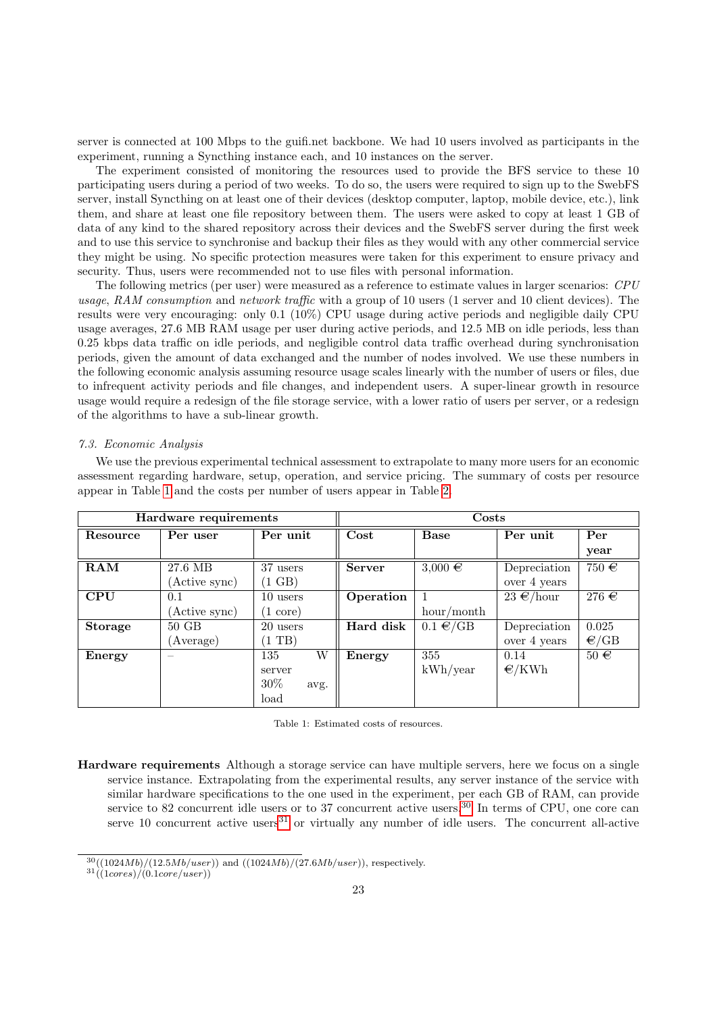server is connected at 100 Mbps to the guifi.net backbone. We had 10 users involved as participants in the experiment, running a Syncthing instance each, and 10 instances on the server.

The experiment consisted of monitoring the resources used to provide the BFS service to these 10 participating users during a period of two weeks. To do so, the users were required to sign up to the SwebFS server, install Syncthing on at least one of their devices (desktop computer, laptop, mobile device, etc.), link them, and share at least one file repository between them. The users were asked to copy at least 1 GB of data of any kind to the shared repository across their devices and the SwebFS server during the first week and to use this service to synchronise and backup their files as they would with any other commercial service they might be using. No specific protection measures were taken for this experiment to ensure privacy and security. Thus, users were recommended not to use files with personal information.

The following metrics (per user) were measured as a reference to estimate values in larger scenarios: CPU usage, RAM consumption and network traffic with a group of 10 users (1 server and 10 client devices). The results were very encouraging: only 0.1 (10%) CPU usage during active periods and negligible daily CPU usage averages, 27.6 MB RAM usage per user during active periods, and 12.5 MB on idle periods, less than 0.25 kbps data traffic on idle periods, and negligible control data traffic overhead during synchronisation periods, given the amount of data exchanged and the number of nodes involved. We use these numbers in the following economic analysis assuming resource usage scales linearly with the number of users or files, due to infrequent activity periods and file changes, and independent users. A super-linear growth in resource usage would require a redesign of the file storage service, with a lower ratio of users per server, or a redesign of the algorithms to have a sub-linear growth.

## <span id="page-22-0"></span>7.3. Economic Analysis

We use the previous experimental technical assessment to extrapolate to many more users for an economic assessment regarding hardware, setup, operation, and service pricing. The summary of costs per resource appear in Table [1](#page-22-1) and the costs per number of users appear in Table [2.](#page-24-1)

<span id="page-22-1"></span>

| Hardware requirements |               |                    | Costs         |               |                 |           |
|-----------------------|---------------|--------------------|---------------|---------------|-----------------|-----------|
| Resource              | Per user      | Per unit           | Cost          | Base          | Per unit        | Per       |
|                       |               |                    |               |               |                 | year      |
| RAM                   | 27.6 MB       | 37 users           | <b>Server</b> | $3,000 \in$   | Depreciation    | 750 $\in$ |
|                       | (Active sync) | $(1 \text{ GB})$   |               |               | over 4 years    |           |
| <b>CPU</b>            | 0.1           | 10 users           | Operation     |               | $23 \in$ /hour  | 276 $\in$ |
|                       | (Active sync) | $(1 \text{ core})$ |               | hour/month    |                 |           |
| <b>Storage</b>        | $50$ $GB$     | 20 users           | Hard disk     | $0.1 \in /GB$ | Depreciation    | 0.025     |
|                       | (Average)     | (1)                |               |               | over 4 years    | $\in$ /GB |
| Energy                | -             | W<br>135           | Energy        | 355           | 0.14            | $50 \in$  |
|                       |               | server             |               | kWh/year      | $\epsilon$ /KWh |           |
|                       |               | $30\%$<br>avg.     |               |               |                 |           |
|                       |               | load               |               |               |                 |           |

| Table 1: Estimated costs of resources. |  |
|----------------------------------------|--|
|----------------------------------------|--|

Hardware requirements Although a storage service can have multiple servers, here we focus on a single service instance. Extrapolating from the experimental results, any server instance of the service with similar hardware specifications to the one used in the experiment, per each GB of RAM, can provide service to 82 concurrent idle users or to 37 concurrent active users.<sup>[30](#page-22-2)</sup> In terms of CPU, one core can serve 10 concurrent active users $31$  or virtually any number of idle users. The concurrent all-active

<span id="page-22-2"></span> $30((1024Mb)/(12.5Mb/user))$  and  $((1024Mb)/(27.6Mb/user))$ , respectively.

<span id="page-22-3"></span> $31((1cores)/(0.1core/user))$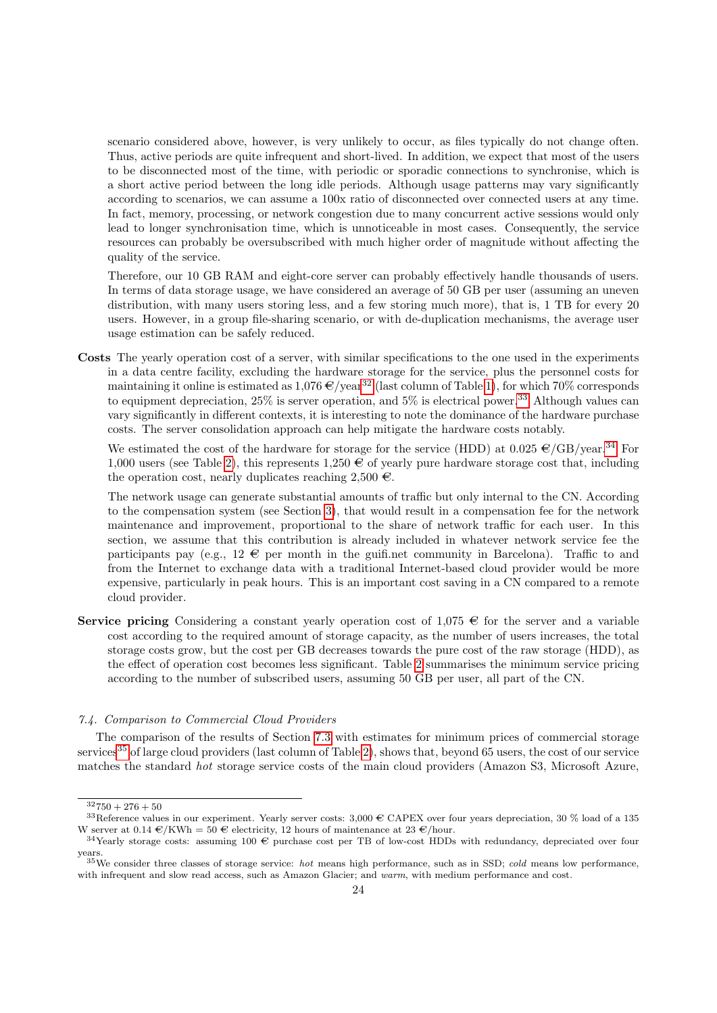scenario considered above, however, is very unlikely to occur, as files typically do not change often. Thus, active periods are quite infrequent and short-lived. In addition, we expect that most of the users to be disconnected most of the time, with periodic or sporadic connections to synchronise, which is a short active period between the long idle periods. Although usage patterns may vary significantly according to scenarios, we can assume a  $100x$  ratio of disconnected over connected users at any time. In fact, memory, processing, or network congestion due to many concurrent active sessions would only lead to longer synchronisation time, which is unnoticeable in most cases. Consequently, the service resources can probably be oversubscribed with much higher order of magnitude without affecting the quality of the service.

Therefore, our 10 GB RAM and eight-core server can probably effectively handle thousands of users. In terms of data storage usage, we have considered an average of 50 GB per user (assuming an uneven distribution, with many users storing less, and a few storing much more), that is, 1 TB for every 20 users. However, in a group file-sharing scenario, or with de-duplication mechanisms, the average user usage estimation can be safely reduced.

Costs The yearly operation cost of a server, with similar specifications to the one used in the experiments in a data centre facility, excluding the hardware storage for the service, plus the personnel costs for maintaining it online is estimated as  $1,076 \in \gamma$  (last column of Table [1\)](#page-22-1), for which 70% corresponds to equipment depreciation,  $25\%$  is server operation, and  $5\%$  is electrical power.<sup>[33](#page-23-2)</sup> Although values can vary significantly in different contexts, it is interesting to note the dominance of the hardware purchase costs. The server consolidation approach can help mitigate the hardware costs notably.

We estimated the cost of the hardware for storage for the service (HDD) at  $0.025 \in C \times S^{34}$  $0.025 \in C \times S^{34}$  $0.025 \in C \times S^{34}$  For 1,000 users (see Table [2\)](#page-24-1), this represents 1,250  $\in$  of yearly pure hardware storage cost that, including the operation cost, nearly duplicates reaching  $2,500 \in$ .

The network usage can generate substantial amounts of traffic but only internal to the CN. According to the compensation system (see Section [3\)](#page-4-0), that would result in a compensation fee for the network maintenance and improvement, proportional to the share of network traffic for each user. In this section, we assume that this contribution is already included in whatever network service fee the participants pay (e.g.,  $12 \in \mathbb{R}$  per month in the guifi.net community in Barcelona). Traffic to and from the Internet to exchange data with a traditional Internet-based cloud provider would be more expensive, particularly in peak hours. This is an important cost saving in a CN compared to a remote cloud provider.

Service pricing Considering a constant yearly operation cost of 1,075  $\in$  for the server and a variable cost according to the required amount of storage capacity, as the number of users increases, the total storage costs grow, but the cost per GB decreases towards the pure cost of the raw storage (HDD), as the effect of operation cost becomes less significant. Table [2](#page-24-1) summarises the minimum service pricing according to the number of subscribed users, assuming 50 GB per user, all part of the CN.

# <span id="page-23-0"></span>7.4. Comparison to Commercial Cloud Providers

The comparison of the results of Section [7.3](#page-22-0) with estimates for minimum prices of commercial storage services<sup>[35](#page-23-4)</sup> of large cloud providers (last column of Table [2\)](#page-24-1), shows that, beyond 65 users, the cost of our service matches the standard hot storage service costs of the main cloud providers (Amazon S3, Microsoft Azure,

<span id="page-23-2"></span><span id="page-23-1"></span> $32750 + 276 + 50$ 

 $33$ Reference values in our experiment. Yearly server costs: 3,000  $\in$  CAPEX over four years depreciation, 30 % load of a 135 W server at  $0.14 \in/KWh = 50 \in$  electricity, 12 hours of maintenance at 23  $\in$ /hour.

<span id="page-23-3"></span> $34$ Yearly storage costs: assuming 100  $\oplus$  purchase cost per TB of low-cost HDDs with redundancy, depreciated over four years.

<span id="page-23-4"></span> $35$ We consider three classes of storage service: *hot* means high performance, such as in SSD; *cold* means low performance, with infrequent and slow read access, such as Amazon Glacier; and warm, with medium performance and cost.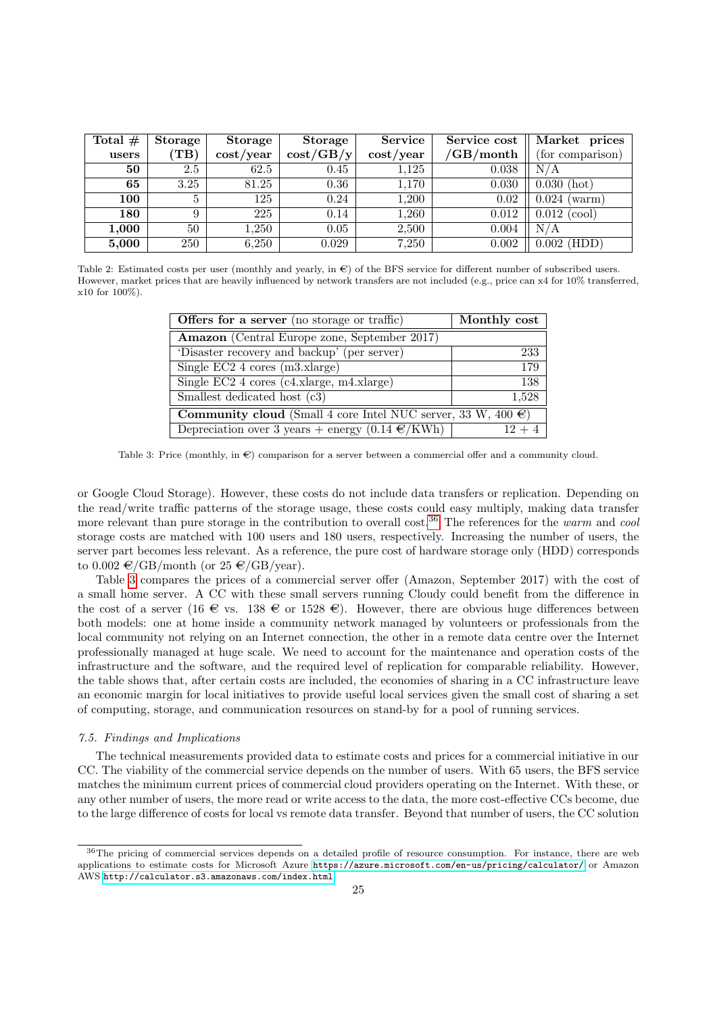<span id="page-24-1"></span>

| Total $#$ | Storage         | Storage        | Storage           | <b>Service</b>           | Service cost    | Market prices    |
|-----------|-----------------|----------------|-------------------|--------------------------|-----------------|------------------|
| users     | $(\mathrm{TB})$ | $\cos t$ /year | $\cos t / GB / y$ | $\cos t / \mathrm{year}$ | $\sqrt{GB/mol}$ | (for comparison) |
| 50        | 2.5             | 62.5           | 0.45              | 1,125                    | 0.038           | N/A              |
| 65        | 3.25            | 81.25          | 0.36              | 1,170                    | 0.030           | $0.030$ (hot)    |
| 100       |                 | 125            | 0.24              | 1,200                    | 0.02            | 0.024<br>(warm)  |
| 180       | 9               | 225            | 0.14              | 1,260                    | 0.012           | 0.012<br>(cool)  |
| 1,000     | 50              | ,250           | 0.05              | 2,500                    | 0.004           | N/A              |
| 5,000     | 250             | 6,250          | 0.029             | 7,250                    | 0.002           | $0.002$ (HDD)    |

<span id="page-24-3"></span>Table 2: Estimated costs per user (monthly and yearly, in  $\epsilon$ ) of the BFS service for different number of subscribed users. However, market prices that are heavily influenced by network transfers are not included (e.g., price can x4 for 10% transferred,  $x10$  for  $100\%$ ).

| <b>Offers for a server</b> (no storage or traffic)                       | Monthly cost |  |  |  |
|--------------------------------------------------------------------------|--------------|--|--|--|
| <b>Amazon</b> (Central Europe zone, September 2017)                      |              |  |  |  |
| 'Disaster recovery and backup' (per server)                              | 233          |  |  |  |
| Single EC2 $4 \text{ cores (m3.xlarge)}$                                 | 179          |  |  |  |
| Single EC2 $4 \text{ cores } (c4.\text{xlarge}, m4.\text{xlarge})$       | 138          |  |  |  |
| Smallest dedicated host (c3)                                             | 1,528        |  |  |  |
| <b>Community cloud</b> (Small 4 core Intel NUC server, 33 W, 400 $\in$ ) |              |  |  |  |
| Depreciation over 3 years + energy $(0.14 \text{ } \in /KWh)$            |              |  |  |  |

Table 3: Price (monthly, in  $\epsilon$ ) comparison for a server between a commercial offer and a community cloud.

or Google Cloud Storage). However, these costs do not include data transfers or replication. Depending on the read/write traffic patterns of the storage usage, these costs could easy multiply, making data transfer more relevant than pure storage in the contribution to overall cost.<sup>[36](#page-24-2)</sup> The references for the warm and cool storage costs are matched with 100 users and 180 users, respectively. Increasing the number of users, the server part becomes less relevant. As a reference, the pure cost of hardware storage only (HDD) corresponds to  $0.002 \in /GB/morth$  (or  $25 \in /GB/year$ ).

Table [3](#page-24-3) compares the prices of a commercial server offer (Amazon, September 2017) with the cost of a small home server. A CC with these small servers running Cloudy could benefit from the difference in the cost of a server (16  $\in$  vs. 138  $\in$  or 1528  $\in$ ). However, there are obvious huge differences between both models: one at home inside a community network managed by volunteers or professionals from the local community not relying on an Internet connection, the other in a remote data centre over the Internet professionally managed at huge scale. We need to account for the maintenance and operation costs of the infrastructure and the software, and the required level of replication for comparable reliability. However, the table shows that, after certain costs are included, the economies of sharing in a CC infrastructure leave an economic margin for local initiatives to provide useful local services given the small cost of sharing a set of computing, storage, and communication resources on stand-by for a pool of running services.

#### <span id="page-24-0"></span>7.5. Findings and Implications

The technical measurements provided data to estimate costs and prices for a commercial initiative in our CC. The viability of the commercial service depends on the number of users. With 65 users, the BFS service matches the minimum current prices of commercial cloud providers operating on the Internet. With these, or any other number of users, the more read or write access to the data, the more cost-effective CCs become, due to the large difference of costs for local vs remote data transfer. Beyond that number of users, the CC solution

<span id="page-24-2"></span><sup>&</sup>lt;sup>36</sup>The pricing of commercial services depends on a detailed profile of resource consumption. For instance, there are web applications to estimate costs for Microsoft Azure <https://azure.microsoft.com/en-us/pricing/calculator/> or Amazon AWS <http://calculator.s3.amazonaws.com/index.html>.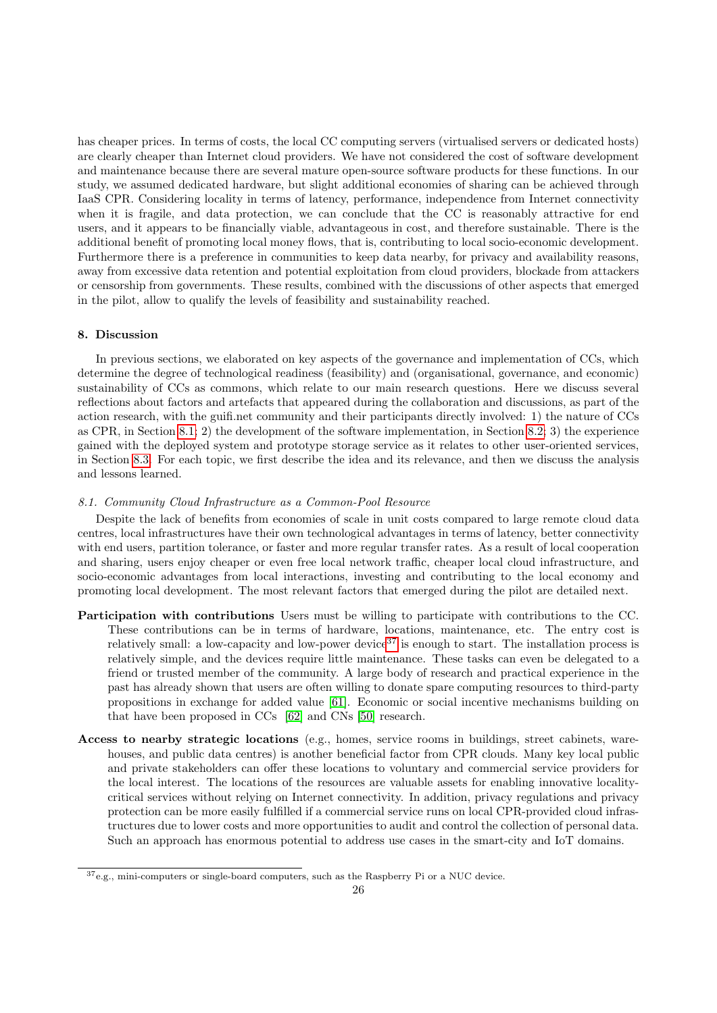has cheaper prices. In terms of costs, the local CC computing servers (virtualised servers or dedicated hosts) are clearly cheaper than Internet cloud providers. We have not considered the cost of software development and maintenance because there are several mature open-source software products for these functions. In our study, we assumed dedicated hardware, but slight additional economies of sharing can be achieved through IaaS CPR. Considering locality in terms of latency, performance, independence from Internet connectivity when it is fragile, and data protection, we can conclude that the CC is reasonably attractive for end users, and it appears to be financially viable, advantageous in cost, and therefore sustainable. There is the additional benefit of promoting local money flows, that is, contributing to local socio-economic development. Furthermore there is a preference in communities to keep data nearby, for privacy and availability reasons, away from excessive data retention and potential exploitation from cloud providers, blockade from attackers or censorship from governments. These results, combined with the discussions of other aspects that emerged in the pilot, allow to qualify the levels of feasibility and sustainability reached.

# <span id="page-25-0"></span>8. Discussion

In previous sections, we elaborated on key aspects of the governance and implementation of CCs, which determine the degree of technological readiness (feasibility) and (organisational, governance, and economic) sustainability of CCs as commons, which relate to our main research questions. Here we discuss several reflections about factors and artefacts that appeared during the collaboration and discussions, as part of the action research, with the guifi.net community and their participants directly involved: 1) the nature of CCs as CPR, in Section [8.1;](#page-25-1) 2) the development of the software implementation, in Section [8.2;](#page-27-0) 3) the experience gained with the deployed system and prototype storage service as it relates to other user-oriented services, in Section [8.3.](#page-28-1) For each topic, we first describe the idea and its relevance, and then we discuss the analysis and lessons learned.

#### <span id="page-25-1"></span>8.1. Community Cloud Infrastructure as a Common-Pool Resource

Despite the lack of benefits from economies of scale in unit costs compared to large remote cloud data centres, local infrastructures have their own technological advantages in terms of latency, better connectivity with end users, partition tolerance, or faster and more regular transfer rates. As a result of local cooperation and sharing, users enjoy cheaper or even free local network traffic, cheaper local cloud infrastructure, and socio-economic advantages from local interactions, investing and contributing to the local economy and promoting local development. The most relevant factors that emerged during the pilot are detailed next.

- Participation with contributions Users must be willing to participate with contributions to the CC. These contributions can be in terms of hardware, locations, maintenance, etc. The entry cost is relatively small: a low-capacity and low-power device<sup>[37](#page-25-2)</sup> is enough to start. The installation process is relatively simple, and the devices require little maintenance. These tasks can even be delegated to a friend or trusted member of the community. A large body of research and practical experience in the past has already shown that users are often willing to donate spare computing resources to third-party propositions in exchange for added value [\[61\]](#page-32-8). Economic or social incentive mechanisms building on that have been proposed in CCs [\[62\]](#page-32-9) and CNs [\[50\]](#page-31-21) research.
- Access to nearby strategic locations (e.g., homes, service rooms in buildings, street cabinets, warehouses, and public data centres) is another beneficial factor from CPR clouds. Many key local public and private stakeholders can offer these locations to voluntary and commercial service providers for the local interest. The locations of the resources are valuable assets for enabling innovative localitycritical services without relying on Internet connectivity. In addition, privacy regulations and privacy protection can be more easily fulfilled if a commercial service runs on local CPR-provided cloud infrastructures due to lower costs and more opportunities to audit and control the collection of personal data. Such an approach has enormous potential to address use cases in the smart-city and IoT domains.

<span id="page-25-2"></span> $^{37}\rm{e.g.,}$  mini-computers or single-board computers, such as the Raspberry Pi or a NUC device.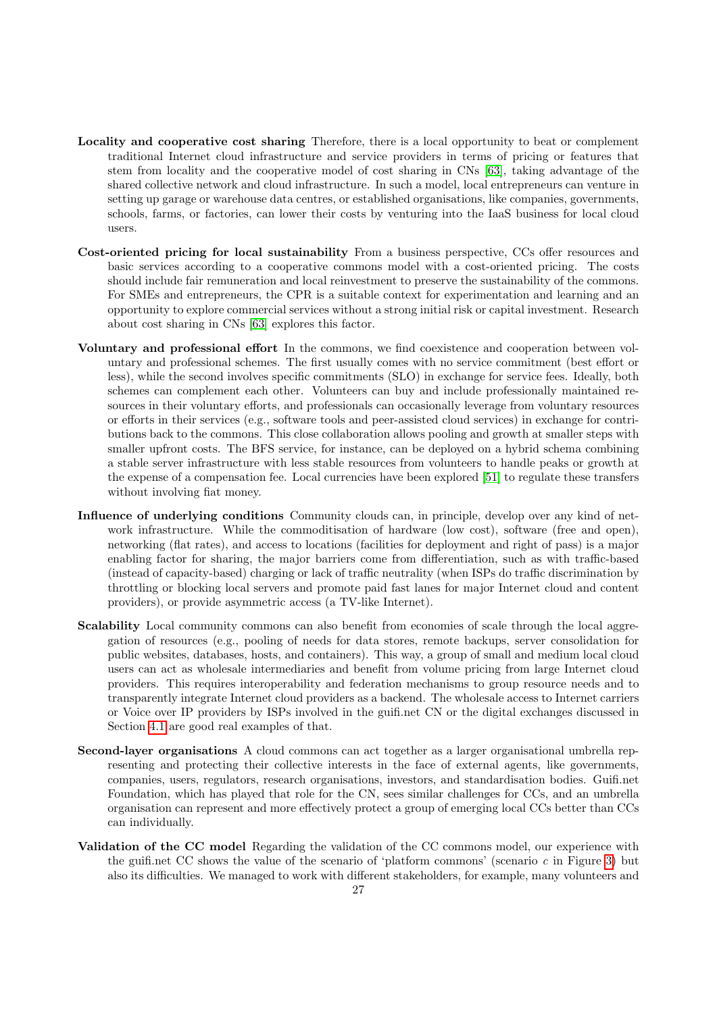- Locality and cooperative cost sharing Therefore, there is a local opportunity to beat or complement traditional Internet cloud infrastructure and service providers in terms of pricing or features that stem from locality and the cooperative model of cost sharing in CNs [\[63\]](#page-32-10), taking advantage of the shared collective network and cloud infrastructure. In such a model, local entrepreneurs can venture in setting up garage or warehouse data centres, or established organisations, like companies, governments, schools, farms, or factories, can lower their costs by venturing into the IaaS business for local cloud users.
- Cost-oriented pricing for local sustainability From a business perspective, CCs offer resources and basic services according to a cooperative commons model with a cost-oriented pricing. The costs should include fair remuneration and local reinvestment to preserve the sustainability of the commons. For SMEs and entrepreneurs, the CPR is a suitable context for experimentation and learning and an opportunity to explore commercial services without a strong initial risk or capital investment. Research about cost sharing in CNs [\[63\]](#page-32-10) explores this factor.
- Voluntary and professional effort In the commons, we find coexistence and cooperation between voluntary and professional schemes. The first usually comes with no service commitment (best effort or less), while the second involves specific commitments (SLO) in exchange for service fees. Ideally, both schemes can complement each other. Volunteers can buy and include professionally maintained resources in their voluntary efforts, and professionals can occasionally leverage from voluntary resources or efforts in their services (e.g., software tools and peer-assisted cloud services) in exchange for contributions back to the commons. This close collaboration allows pooling and growth at smaller steps with smaller upfront costs. The BFS service, for instance, can be deployed on a hybrid schema combining a stable server infrastructure with less stable resources from volunteers to handle peaks or growth at the expense of a compensation fee. Local currencies have been explored [\[51\]](#page-31-22) to regulate these transfers without involving fiat money.
- Influence of underlying conditions Community clouds can, in principle, develop over any kind of network infrastructure. While the commoditisation of hardware (low cost), software (free and open), networking (flat rates), and access to locations (facilities for deployment and right of pass) is a major enabling factor for sharing, the major barriers come from differentiation, such as with traffic-based (instead of capacity-based) charging or lack of traffic neutrality (when ISPs do traffic discrimination by throttling or blocking local servers and promote paid fast lanes for major Internet cloud and content providers), or provide asymmetric access (a TV-like Internet).
- Scalability Local community commons can also benefit from economies of scale through the local aggregation of resources (e.g., pooling of needs for data stores, remote backups, server consolidation for public websites, databases, hosts, and containers). This way, a group of small and medium local cloud users can act as wholesale intermediaries and benefit from volume pricing from large Internet cloud providers. This requires interoperability and federation mechanisms to group resource needs and to transparently integrate Internet cloud providers as a backend. The wholesale access to Internet carriers or Voice over IP providers by ISPs involved in the guifi.net CN or the digital exchanges discussed in Section [4.1](#page-9-0) are good real examples of that.
- Second-layer organisations A cloud commons can act together as a larger organisational umbrella representing and protecting their collective interests in the face of external agents, like governments, companies, users, regulators, research organisations, investors, and standardisation bodies. Guifi.net Foundation, which has played that role for the CN, sees similar challenges for CCs, and an umbrella organisation can represent and more effectively protect a group of emerging local CCs better than CCs can individually.
- Validation of the CC model Regarding the validation of the CC commons model, our experience with the guifi.net CC shows the value of the scenario of 'platform commons' (scenario  $c$  in Figure [3\)](#page-10-0) but also its difficulties. We managed to work with different stakeholders, for example, many volunteers and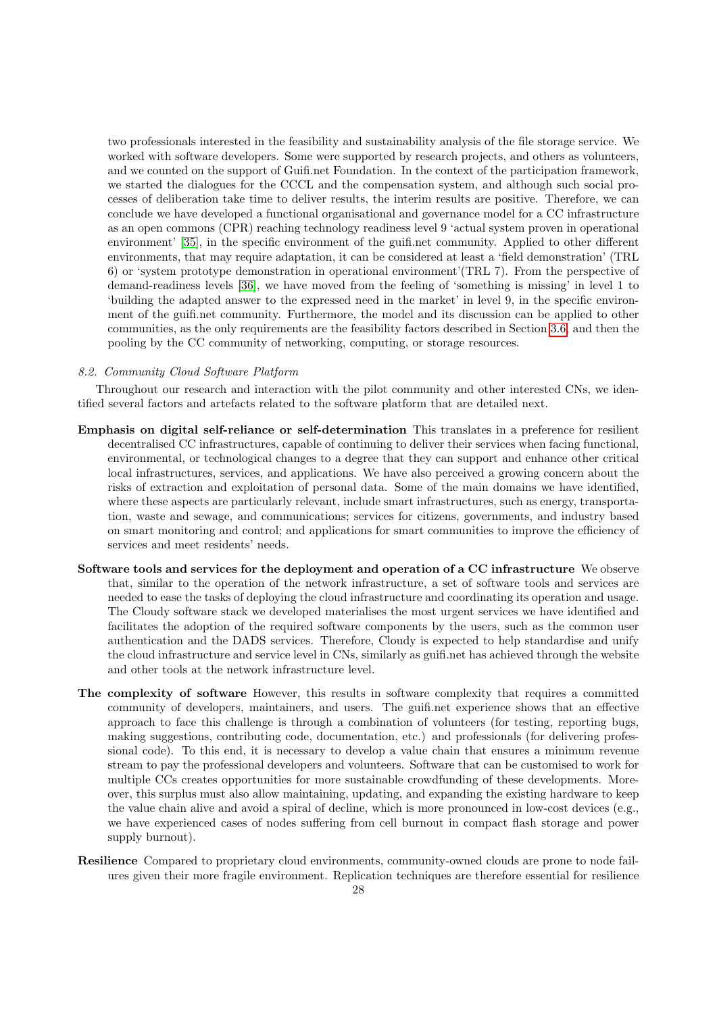two professionals interested in the feasibility and sustainability analysis of the file storage service. We worked with software developers. Some were supported by research projects, and others as volunteers, and we counted on the support of Guifi.net Foundation. In the context of the participation framework, we started the dialogues for the CCCL and the compensation system, and although such social processes of deliberation take time to deliver results, the interim results are positive. Therefore, we can conclude we have developed a functional organisational and governance model for a CC infrastructure as an open commons (CPR) reaching technology readiness level 9 'actual system proven in operational environment' [\[35\]](#page-31-6), in the specific environment of the guifi.net community. Applied to other different environments, that may require adaptation, it can be considered at least a 'field demonstration' (TRL 6) or 'system prototype demonstration in operational environment'(TRL 7). From the perspective of demand-readiness levels [\[36\]](#page-31-7), we have moved from the feeling of 'something is missing' in level 1 to 'building the adapted answer to the expressed need in the market' in level 9, in the specific environment of the guifi.net community. Furthermore, the model and its discussion can be applied to other communities, as the only requirements are the feasibility factors described in Section [3.6,](#page-7-2) and then the pooling by the CC community of networking, computing, or storage resources.

## <span id="page-27-0"></span>8.2. Community Cloud Software Platform

Throughout our research and interaction with the pilot community and other interested CNs, we identified several factors and artefacts related to the software platform that are detailed next.

- Emphasis on digital self-reliance or self-determination This translates in a preference for resilient decentralised CC infrastructures, capable of continuing to deliver their services when facing functional, environmental, or technological changes to a degree that they can support and enhance other critical local infrastructures, services, and applications. We have also perceived a growing concern about the risks of extraction and exploitation of personal data. Some of the main domains we have identified, where these aspects are particularly relevant, include smart infrastructures, such as energy, transportation, waste and sewage, and communications; services for citizens, governments, and industry based on smart monitoring and control; and applications for smart communities to improve the efficiency of services and meet residents' needs.
- Software tools and services for the deployment and operation of a CC infrastructure We observe that, similar to the operation of the network infrastructure, a set of software tools and services are needed to ease the tasks of deploying the cloud infrastructure and coordinating its operation and usage. The Cloudy software stack we developed materialises the most urgent services we have identified and facilitates the adoption of the required software components by the users, such as the common user authentication and the DADS services. Therefore, Cloudy is expected to help standardise and unify the cloud infrastructure and service level in CNs, similarly as guifi.net has achieved through the website and other tools at the network infrastructure level.
- The complexity of software However, this results in software complexity that requires a committed community of developers, maintainers, and users. The guifi.net experience shows that an effective approach to face this challenge is through a combination of volunteers (for testing, reporting bugs, making suggestions, contributing code, documentation, etc.) and professionals (for delivering professional code). To this end, it is necessary to develop a value chain that ensures a minimum revenue stream to pay the professional developers and volunteers. Software that can be customised to work for multiple CCs creates opportunities for more sustainable crowdfunding of these developments. Moreover, this surplus must also allow maintaining, updating, and expanding the existing hardware to keep the value chain alive and avoid a spiral of decline, which is more pronounced in low-cost devices (e.g., we have experienced cases of nodes suffering from cell burnout in compact flash storage and power supply burnout).
- Resilience Compared to proprietary cloud environments, community-owned clouds are prone to node failures given their more fragile environment. Replication techniques are therefore essential for resilience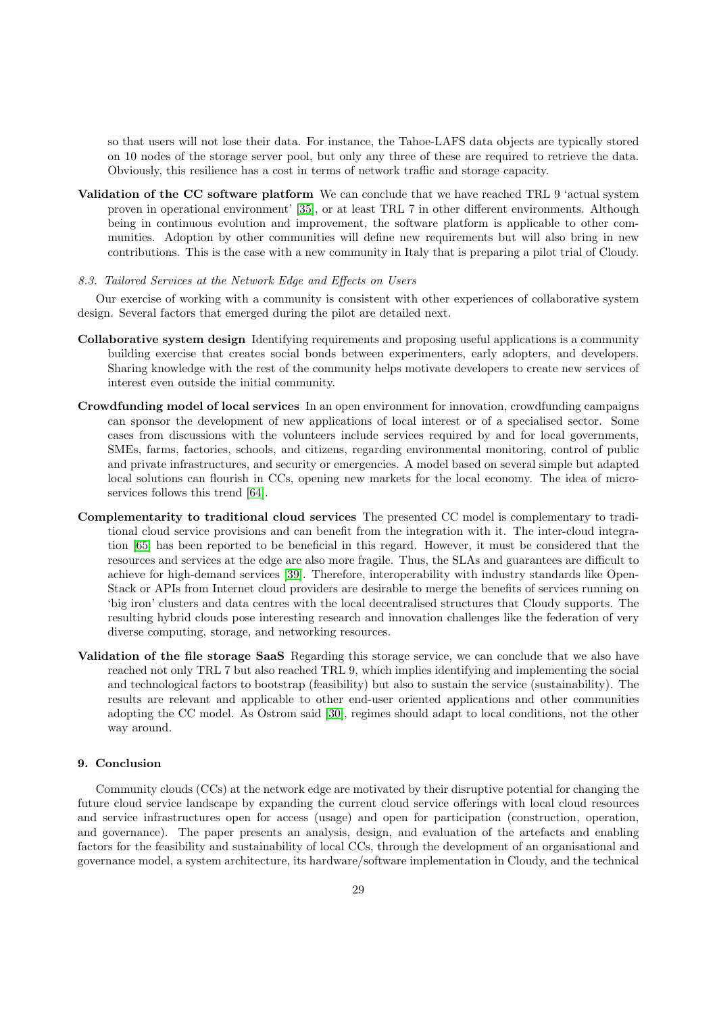so that users will not lose their data. For instance, the Tahoe-LAFS data objects are typically stored on 10 nodes of the storage server pool, but only any three of these are required to retrieve the data. Obviously, this resilience has a cost in terms of network traffic and storage capacity.

- Validation of the CC software platform We can conclude that we have reached TRL 9 'actual system proven in operational environment' [\[35\]](#page-31-6), or at least TRL 7 in other different environments. Although being in continuous evolution and improvement, the software platform is applicable to other communities. Adoption by other communities will define new requirements but will also bring in new contributions. This is the case with a new community in Italy that is preparing a pilot trial of Cloudy.
- <span id="page-28-1"></span>8.3. Tailored Services at the Network Edge and Effects on Users

Our exercise of working with a community is consistent with other experiences of collaborative system design. Several factors that emerged during the pilot are detailed next.

- Collaborative system design Identifying requirements and proposing useful applications is a community building exercise that creates social bonds between experimenters, early adopters, and developers. Sharing knowledge with the rest of the community helps motivate developers to create new services of interest even outside the initial community.
- Crowdfunding model of local services In an open environment for innovation, crowdfunding campaigns can sponsor the development of new applications of local interest or of a specialised sector. Some cases from discussions with the volunteers include services required by and for local governments, SMEs, farms, factories, schools, and citizens, regarding environmental monitoring, control of public and private infrastructures, and security or emergencies. A model based on several simple but adapted local solutions can flourish in CCs, opening new markets for the local economy. The idea of microservices follows this trend [\[64\]](#page-32-11).
- Complementarity to traditional cloud services The presented CC model is complementary to traditional cloud service provisions and can benefit from the integration with it. The inter-cloud integration [\[65\]](#page-32-12) has been reported to be beneficial in this regard. However, it must be considered that the resources and services at the edge are also more fragile. Thus, the SLAs and guarantees are difficult to achieve for high-demand services [\[39\]](#page-31-10). Therefore, interoperability with industry standards like Open-Stack or APIs from Internet cloud providers are desirable to merge the benefits of services running on 'big iron' clusters and data centres with the local decentralised structures that Cloudy supports. The resulting hybrid clouds pose interesting research and innovation challenges like the federation of very diverse computing, storage, and networking resources.
- Validation of the file storage SaaS Regarding this storage service, we can conclude that we also have reached not only TRL 7 but also reached TRL 9, which implies identifying and implementing the social and technological factors to bootstrap (feasibility) but also to sustain the service (sustainability). The results are relevant and applicable to other end-user oriented applications and other communities adopting the CC model. As Ostrom said [\[30\]](#page-31-1), regimes should adapt to local conditions, not the other way around.

# <span id="page-28-0"></span>9. Conclusion

Community clouds (CCs) at the network edge are motivated by their disruptive potential for changing the future cloud service landscape by expanding the current cloud service offerings with local cloud resources and service infrastructures open for access (usage) and open for participation (construction, operation, and governance). The paper presents an analysis, design, and evaluation of the artefacts and enabling factors for the feasibility and sustainability of local CCs, through the development of an organisational and governance model, a system architecture, its hardware/software implementation in Cloudy, and the technical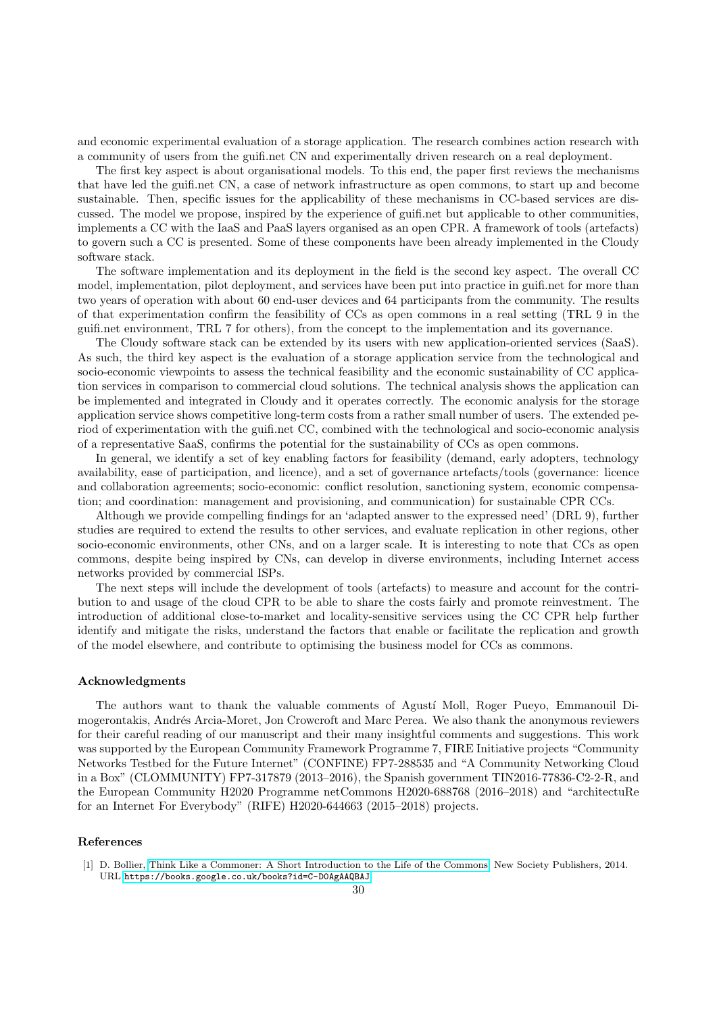and economic experimental evaluation of a storage application. The research combines action research with a community of users from the guifi.net CN and experimentally driven research on a real deployment.

The first key aspect is about organisational models. To this end, the paper first reviews the mechanisms that have led the guifi.net CN, a case of network infrastructure as open commons, to start up and become sustainable. Then, specific issues for the applicability of these mechanisms in CC-based services are discussed. The model we propose, inspired by the experience of guifi.net but applicable to other communities, implements a CC with the IaaS and PaaS layers organised as an open CPR. A framework of tools (artefacts) to govern such a CC is presented. Some of these components have been already implemented in the Cloudy software stack.

The software implementation and its deployment in the field is the second key aspect. The overall CC model, implementation, pilot deployment, and services have been put into practice in guifi.net for more than two years of operation with about 60 end-user devices and 64 participants from the community. The results of that experimentation confirm the feasibility of CCs as open commons in a real setting (TRL 9 in the guifi.net environment, TRL 7 for others), from the concept to the implementation and its governance.

The Cloudy software stack can be extended by its users with new application-oriented services (SaaS). As such, the third key aspect is the evaluation of a storage application service from the technological and socio-economic viewpoints to assess the technical feasibility and the economic sustainability of CC application services in comparison to commercial cloud solutions. The technical analysis shows the application can be implemented and integrated in Cloudy and it operates correctly. The economic analysis for the storage application service shows competitive long-term costs from a rather small number of users. The extended period of experimentation with the guifi.net CC, combined with the technological and socio-economic analysis of a representative SaaS, confirms the potential for the sustainability of CCs as open commons.

In general, we identify a set of key enabling factors for feasibility (demand, early adopters, technology availability, ease of participation, and licence), and a set of governance artefacts/tools (governance: licence and collaboration agreements; socio-economic: conflict resolution, sanctioning system, economic compensation; and coordination: management and provisioning, and communication) for sustainable CPR CCs.

Although we provide compelling findings for an 'adapted answer to the expressed need' (DRL 9), further studies are required to extend the results to other services, and evaluate replication in other regions, other socio-economic environments, other CNs, and on a larger scale. It is interesting to note that CCs as open commons, despite being inspired by CNs, can develop in diverse environments, including Internet access networks provided by commercial ISPs.

The next steps will include the development of tools (artefacts) to measure and account for the contribution to and usage of the cloud CPR to be able to share the costs fairly and promote reinvestment. The introduction of additional close-to-market and locality-sensitive services using the CC CPR help further identify and mitigate the risks, understand the factors that enable or facilitate the replication and growth of the model elsewhere, and contribute to optimising the business model for CCs as commons.

#### Acknowledgments

The authors want to thank the valuable comments of Agustí Moll, Roger Pueyo, Emmanouil Dimogerontakis, Andrés Arcia-Moret, Jon Crowcroft and Marc Perea. We also thank the anonymous reviewers for their careful reading of our manuscript and their many insightful comments and suggestions. This work was supported by the European Community Framework Programme 7, FIRE Initiative projects "Community Networks Testbed for the Future Internet" (CONFINE) FP7-288535 and "A Community Networking Cloud in a Box" (CLOMMUNITY) FP7-317879 (2013–2016), the Spanish government TIN2016-77836-C2-2-R, and the European Community H2020 Programme netCommons H2020-688768 (2016–2018) and "architectuRe for an Internet For Everybody" (RIFE) H2020-644663 (2015–2018) projects.

## References

<span id="page-29-0"></span><sup>[1]</sup> D. Bollier, [Think Like a Commoner: A Short Introduction to the Life of the Commons,](https://books.google.co.uk/books?id=C-D0AgAAQBAJ) New Society Publishers, 2014. URL <https://books.google.co.uk/books?id=C-D0AgAAQBAJ>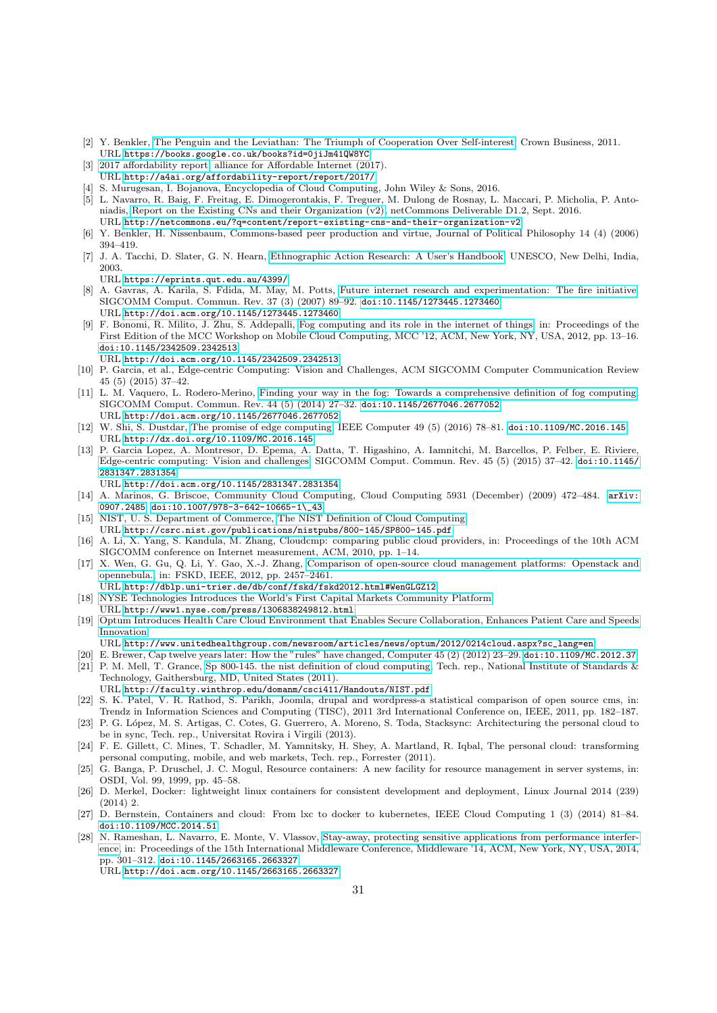- <span id="page-30-0"></span>[2] Y. Benkler, [The Penguin and the Leviathan: The Triumph of Cooperation Over Self-interest,](https://books.google.co.uk/books?id=0jiJm41QW8YC) Crown Business, 2011. URL <https://books.google.co.uk/books?id=0jiJm41QW8YC>
- <span id="page-30-1"></span>[3] [2017 affordability report,](http://a4ai.org/affordability-report/report/2017/) alliance for Affordable Internet (2017). URL <http://a4ai.org/affordability-report/report/2017/>
- <span id="page-30-2"></span>[4] S. Murugesan, I. Bojanova, Encyclopedia of Cloud Computing, John Wiley & Sons, 2016.
- <span id="page-30-3"></span>[5] L. Navarro, R. Baig, F. Freitag, E. Dimogerontakis, F. Treguer, M. Dulong de Rosnay, L. Maccari, P. Micholia, P. Antoniadis, [Report on the Existing CNs and their Organization \(v2\),](http://netcommons.eu/?q=content/report-existing-cns-and-their-organization-v2) netCommons Deliverable D1.2, Sept. 2016. URL <http://netcommons.eu/?q=content/report-existing-cns-and-their-organization-v2>
- <span id="page-30-4"></span>[6] Y. Benkler, H. Nissenbaum, Commons-based peer production and virtue, Journal of Political Philosophy 14 (4) (2006) 394–419.
- <span id="page-30-5"></span>[7] J. A. Tacchi, D. Slater, G. N. Hearn, [Ethnographic Action Research: A User's Handbook,](https://eprints.qut.edu.au/4399/) UNESCO, New Delhi, India, 2003.
	- URL <https://eprints.qut.edu.au/4399/>
- <span id="page-30-6"></span>[8] A. Gavras, A. Karila, S. Fdida, M. May, M. Potts, [Future internet research and experimentation: The fire initiative,](http://doi.acm.org/10.1145/1273445.1273460) SIGCOMM Comput. Commun. Rev. 37 (3) (2007) 89–92. [doi:10.1145/1273445.1273460](http://dx.doi.org/10.1145/1273445.1273460). URL <http://doi.acm.org/10.1145/1273445.1273460>
- <span id="page-30-7"></span>[9] F. Bonomi, R. Milito, J. Zhu, S. Addepalli, [Fog computing and its role in the internet of things,](http://doi.acm.org/10.1145/2342509.2342513) in: Proceedings of the First Edition of the MCC Workshop on Mobile Cloud Computing, MCC '12, ACM, New York, NY, USA, 2012, pp. 13–16. [doi:10.1145/2342509.2342513](http://dx.doi.org/10.1145/2342509.2342513).
- URL <http://doi.acm.org/10.1145/2342509.2342513>
- <span id="page-30-8"></span>[10] P. Garcia, et al., Edge-centric Computing: Vision and Challenges, ACM SIGCOMM Computer Communication Review 45 (5) (2015) 37–42.
- <span id="page-30-9"></span>[11] L. M. Vaquero, L. Rodero-Merino, [Finding your way in the fog: Towards a comprehensive definition of fog computing,](http://doi.acm.org/10.1145/2677046.2677052) SIGCOMM Comput. Commun. Rev. 44 (5) (2014) 27–32. [doi:10.1145/2677046.2677052](http://dx.doi.org/10.1145/2677046.2677052). URL <http://doi.acm.org/10.1145/2677046.2677052>
- <span id="page-30-10"></span>[12] W. Shi, S. Dustdar, [The promise of edge computing,](http://dx.doi.org/10.1109/MC.2016.145) IEEE Computer 49 (5) (2016) 78–81. [doi:10.1109/MC.2016.145](http://dx.doi.org/10.1109/MC.2016.145). URL <http://dx.doi.org/10.1109/MC.2016.145>
- <span id="page-30-11"></span>[13] P. Garcia Lopez, A. Montresor, D. Epema, A. Datta, T. Higashino, A. Iamnitchi, M. Barcellos, P. Felber, E. Riviere, [Edge-centric computing: Vision and challenges,](http://doi.acm.org/10.1145/2831347.2831354) SIGCOMM Comput. Commun. Rev. 45 (5) (2015) 37–42. [doi:10.1145/](http://dx.doi.org/10.1145/2831347.2831354) [2831347.2831354](http://dx.doi.org/10.1145/2831347.2831354). URL <http://doi.acm.org/10.1145/2831347.2831354>
- <span id="page-30-12"></span>[14] A. Marinos, G. Briscoe, Community Cloud Computing, Cloud Computing 5931 (December) (2009) 472–484. [arXiv:](http://arxiv.org/abs/0907.2485) [0907.2485](http://arxiv.org/abs/0907.2485), [doi:10.1007/978-3-642-10665-1\\\_43](http://dx.doi.org/10.1007/978-3-642-10665-1_43).
- <span id="page-30-13"></span>[15] NIST, U. S. Department of Commerce, [The NIST Definition of Cloud Computing.](http://csrc.nist.gov/publications/nistpubs/800-145/SP800-145.pdf)
- URL <http://csrc.nist.gov/publications/nistpubs/800-145/SP800-145.pdf>
- <span id="page-30-14"></span>[16] A. Li, X. Yang, S. Kandula, M. Zhang, Cloudcmp: comparing public cloud providers, in: Proceedings of the 10th ACM SIGCOMM conference on Internet measurement, ACM, 2010, pp. 1–14.
- <span id="page-30-15"></span>[17] X. Wen, G. Gu, Q. Li, Y. Gao, X.-J. Zhang, [Comparison of open-source cloud management platforms: Openstack and](http://dblp.uni-trier.de/db/conf/fskd/fskd2012.html#WenGLGZ12) [opennebula.,](http://dblp.uni-trier.de/db/conf/fskd/fskd2012.html#WenGLGZ12) in: FSKD, IEEE, 2012, pp. 2457–2461.
- <span id="page-30-16"></span>URL <http://dblp.uni-trier.de/db/conf/fskd/fskd2012.html#WenGLGZ12> [18] [NYSE Technologies Introduces the World's First Capital Markets Community Platform.](http://www1.nyse.com/press/1306838249812.html) URL <http://www1.nyse.com/press/1306838249812.html>
- <span id="page-30-17"></span>[19] [Optum Introduces Health Care Cloud Environment that Enables Secure Collaboration, Enhances Patient Care and Speeds](http://www.unitedhealthgroup.com/newsroom/articles/news/optum/2012/0214cloud.aspx?sc_lang=en) [Innovation.](http://www.unitedhealthgroup.com/newsroom/articles/news/optum/2012/0214cloud.aspx?sc_lang=en)
	- URL [http://www.unitedhealthgroup.com/newsroom/articles/news/optum/2012/0214cloud.aspx?sc\\_lang=en](http://www.unitedhealthgroup.com/newsroom/articles/news/optum/2012/0214cloud.aspx?sc_lang=en)
- <span id="page-30-18"></span>[20] E. Brewer, Cap twelve years later: How the "rules" have changed, Computer 45 (2) (2012) 23–29. [doi:10.1109/MC.2012.37](http://dx.doi.org/10.1109/MC.2012.37).
- <span id="page-30-19"></span>[21] P. M. Mell, T. Grance, [Sp 800-145. the nist definition of cloud computing,](http://faculty.winthrop.edu/domanm/csci411/Handouts/NIST.pdf) Tech. rep., National Institute of Standards & Technology, Gaithersburg, MD, United States (2011).
- URL <http://faculty.winthrop.edu/domanm/csci411/Handouts/NIST.pdf>
- <span id="page-30-20"></span>[22] S. K. Patel, V. R. Rathod, S. Parikh, Joomla, drupal and wordpress-a statistical comparison of open source cms, in: Trendz in Information Sciences and Computing (TISC), 2011 3rd International Conference on, IEEE, 2011, pp. 182–187.
- <span id="page-30-21"></span>[23] P. G. López, M. S. Artigas, C. Cotes, G. Guerrero, A. Moreno, S. Toda, Stacksync: Architecturing the personal cloud to be in sync, Tech. rep., Universitat Rovira i Virgili (2013).
- <span id="page-30-22"></span>[24] F. E. Gillett, C. Mines, T. Schadler, M. Yamnitsky, H. Shey, A. Martland, R. Iqbal, The personal cloud: transforming personal computing, mobile, and web markets, Tech. rep., Forrester (2011).
- <span id="page-30-23"></span>[25] G. Banga, P. Druschel, J. C. Mogul, Resource containers: A new facility for resource management in server systems, in: OSDI, Vol. 99, 1999, pp. 45–58.
- <span id="page-30-24"></span>[26] D. Merkel, Docker: lightweight linux containers for consistent development and deployment, Linux Journal 2014 (239) (2014) 2.
- <span id="page-30-25"></span>[27] D. Bernstein, Containers and cloud: From lxc to docker to kubernetes, IEEE Cloud Computing 1 (3) (2014) 81–84. [doi:10.1109/MCC.2014.51](http://dx.doi.org/10.1109/MCC.2014.51).
- <span id="page-30-26"></span>[28] N. Rameshan, L. Navarro, E. Monte, V. Vlassov, [Stay-away, protecting sensitive applications from performance interfer](http://doi.acm.org/10.1145/2663165.2663327)[ence,](http://doi.acm.org/10.1145/2663165.2663327) in: Proceedings of the 15th International Middleware Conference, Middleware '14, ACM, New York, NY, USA, 2014, pp. 301–312. [doi:10.1145/2663165.2663327](http://dx.doi.org/10.1145/2663165.2663327).

URL <http://doi.acm.org/10.1145/2663165.2663327>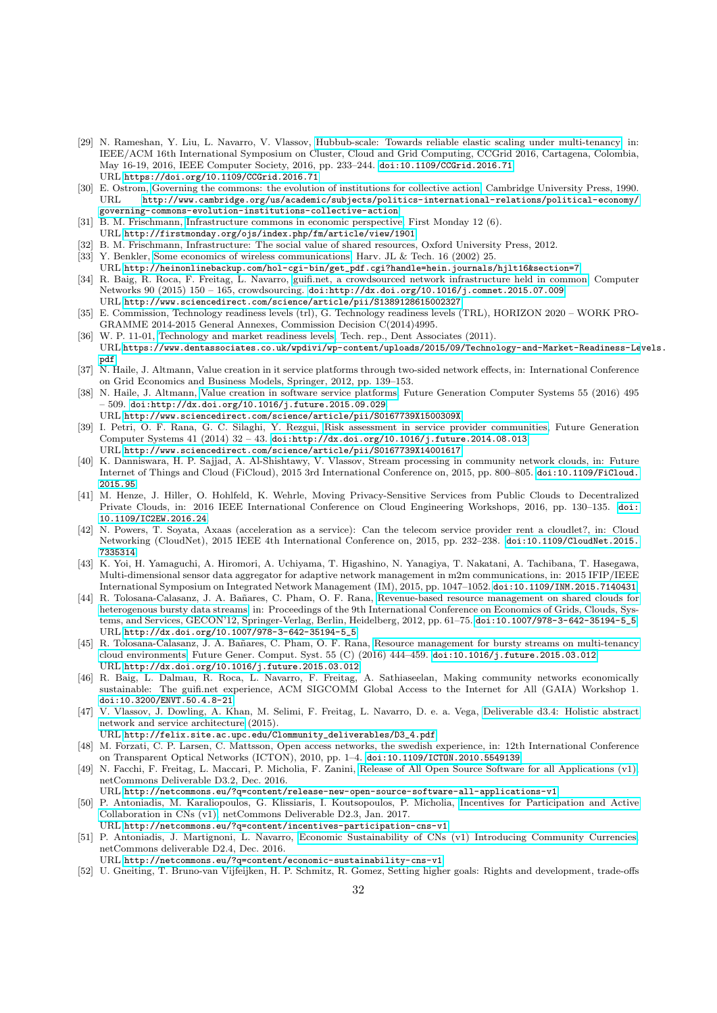- <span id="page-31-0"></span>[29] N. Rameshan, Y. Liu, L. Navarro, V. Vlassov, [Hubbub-scale: Towards reliable elastic scaling under multi-tenancy,](https://doi.org/10.1109/CCGrid.2016.71) in: IEEE/ACM 16th International Symposium on Cluster, Cloud and Grid Computing, CCGrid 2016, Cartagena, Colombia, May 16-19, 2016, IEEE Computer Society, 2016, pp. 233–244. [doi:10.1109/CCGrid.2016.71](http://dx.doi.org/10.1109/CCGrid.2016.71). URL <https://doi.org/10.1109/CCGrid.2016.71>
- <span id="page-31-1"></span>[30] E. Ostrom, [Governing the commons: the evolution of institutions for collective action,](http://www.cambridge.org/us/academic/subjects/politics-international-relations/political-economy/governing-commons-evolution-institutions-collective-action) Cambridge University Press, 1990. URL [http://www.cambridge.org/us/academic/subjects/politics-international-relations/political-economy/](http://www.cambridge.org/us/academic/subjects/politics-international-relations/political-economy/governing-commons-evolution-institutions-collective-action) [governing-commons-evolution-institutions-collective-action](http://www.cambridge.org/us/academic/subjects/politics-international-relations/political-economy/governing-commons-evolution-institutions-collective-action)
- <span id="page-31-2"></span>[31] B. M. Frischmann, [Infrastructure commons in economic perspective,](http://firstmonday.org/ojs/index.php/fm/article/view/1901) First Monday 12 (6).
- URL <http://firstmonday.org/ojs/index.php/fm/article/view/1901>
- <span id="page-31-3"></span>[32] B. M. Frischmann, Infrastructure: The social value of shared resources, Oxford University Press, 2012.
- <span id="page-31-4"></span>[33] Y. Benkler, [Some economics of wireless communications,](http://heinonlinebackup.com/hol-cgi-bin/get_pdf.cgi?handle=hein.journals/hjlt16§ion=7) Harv. JL & Tech. 16 (2002) 25. URL [http://heinonlinebackup.com/hol-cgi-bin/get\\_pdf.cgi?handle=hein.journals/hjlt16&section=7](http://heinonlinebackup.com/hol-cgi-bin/get_pdf.cgi?handle=hein.journals/hjlt16§ion=7)
- <span id="page-31-5"></span>[34] R. Baig, R. Roca, F. Freitag, L. Navarro, [guifi.net, a crowdsourced network infrastructure held in common,](http://www.sciencedirect.com/science/article/pii/S1389128615002327) Computer Networks 90 (2015) 150 – 165, crowdsourcing. [doi:http://dx.doi.org/10.1016/j.comnet.2015.07.009](http://dx.doi.org/http://dx.doi.org/10.1016/j.comnet.2015.07.009). URL <http://www.sciencedirect.com/science/article/pii/S1389128615002327>
- <span id="page-31-6"></span>[35] E. Commission, Technology readiness levels (trl), G. Technology readiness levels (TRL), HORIZON 2020 – WORK PRO-GRAMME 2014-2015 General Annexes, Commission Decision C(2014)4995.
- <span id="page-31-7"></span>[36] W. P. 11-01, [Technology and market readiness levels,](https://www.dentassociates.co.uk/wpdivi/wp-content/uploads/2015/09/Technology-and-Market-Readiness-Levels.pdf) Tech. rep., Dent Associates (2011). URL [https://www.dentassociates.co.uk/wpdivi/wp-content/uploads/2015/09/Technology-and-Market-Readiness-Le](https://www.dentassociates.co.uk/wpdivi/wp-content/uploads/2015/09/Technology-and-Market-Readiness-Levels.pdf)vels. [pdf](https://www.dentassociates.co.uk/wpdivi/wp-content/uploads/2015/09/Technology-and-Market-Readiness-Levels.pdf)
- <span id="page-31-8"></span>[37] N. Haile, J. Altmann, Value creation in it service platforms through two-sided network effects, in: International Conference on Grid Economics and Business Models, Springer, 2012, pp. 139–153.
- <span id="page-31-9"></span>[38] N. Haile, J. Altmann, [Value creation in software service platforms,](http://www.sciencedirect.com/science/article/pii/S0167739X1500309X) Future Generation Computer Systems 55 (2016) 495 – 509. [doi:http://dx.doi.org/10.1016/j.future.2015.09.029](http://dx.doi.org/http://dx.doi.org/10.1016/j.future.2015.09.029).
- <span id="page-31-10"></span>URL <http://www.sciencedirect.com/science/article/pii/S0167739X1500309X> [39] I. Petri, O. F. Rana, G. C. Silaghi, Y. Rezgui, [Risk assessment in service provider communities,](http://www.sciencedirect.com/science/article/pii/S0167739X14001617) Future Generation Computer Systems 41 (2014) 32 – 43. [doi:http://dx.doi.org/10.1016/j.future.2014.08.013](http://dx.doi.org/http://dx.doi.org/10.1016/j.future.2014.08.013). URL <http://www.sciencedirect.com/science/article/pii/S0167739X14001617>
- <span id="page-31-11"></span>[40] K. Danniswara, H. P. Sajjad, A. Al-Shishtawy, V. Vlassov, Stream processing in community network clouds, in: Future Internet of Things and Cloud (FiCloud), 2015 3rd International Conference on, 2015, pp. 800–805. [doi:10.1109/FiCloud.](http://dx.doi.org/10.1109/FiCloud.2015.95) [2015.95](http://dx.doi.org/10.1109/FiCloud.2015.95).
- <span id="page-31-12"></span>[41] M. Henze, J. Hiller, O. Hohlfeld, K. Wehrle, Moving Privacy-Sensitive Services from Public Clouds to Decentralized Private Clouds, in: 2016 IEEE International Conference on Cloud Engineering Workshops, 2016, pp. 130–135. [doi:](http://dx.doi.org/10.1109/IC2EW.2016.24) [10.1109/IC2EW.2016.24](http://dx.doi.org/10.1109/IC2EW.2016.24).
- <span id="page-31-13"></span>[42] N. Powers, T. Soyata, Axaas (acceleration as a service): Can the telecom service provider rent a cloudlet?, in: Cloud Networking (CloudNet), 2015 IEEE 4th International Conference on, 2015, pp. 232–238. [doi:10.1109/CloudNet.2015.](http://dx.doi.org/10.1109/CloudNet.2015.7335314) [7335314](http://dx.doi.org/10.1109/CloudNet.2015.7335314).
- <span id="page-31-14"></span>[43] K. Yoi, H. Yamaguchi, A. Hiromori, A. Uchiyama, T. Higashino, N. Yanagiya, T. Nakatani, A. Tachibana, T. Hasegawa, Multi-dimensional sensor data aggregator for adaptive network management in m2m communications, in: 2015 IFIP/IEEE International Symposium on Integrated Network Management (IM), 2015, pp. 1047–1052. [doi:10.1109/INM.2015.7140431](http://dx.doi.org/10.1109/INM.2015.7140431).
- <span id="page-31-15"></span>[44] R. Tolosana-Calasanz, J. A. Bañares, C. Pham, O. F. Rana, [Revenue-based resource management on shared clouds for](http://dx.doi.org/10.1007/978-3-642-35194-5_5) [heterogenous bursty data streams,](http://dx.doi.org/10.1007/978-3-642-35194-5_5) in: Proceedings of the 9th International Conference on Economics of Grids, Clouds, Systems, and Services, GECON'12, Springer-Verlag, Berlin, Heidelberg, 2012, pp. 61–75. [doi:10.1007/978-3-642-35194-5\\_5](http://dx.doi.org/10.1007/978-3-642-35194-5_5). URL [http://dx.doi.org/10.1007/978-3-642-35194-5\\_5](http://dx.doi.org/10.1007/978-3-642-35194-5_5)
- <span id="page-31-16"></span>[45] R. Tolosana-Calasanz, J. A. Bañares, C. Pham, O. F. Rana, [Resource management for bursty streams on multi-tenancy](http://dx.doi.org/10.1016/j.future.2015.03.012) [cloud environments,](http://dx.doi.org/10.1016/j.future.2015.03.012) Future Gener. Comput. Syst. 55 (C) (2016) 444–459. [doi:10.1016/j.future.2015.03.012](http://dx.doi.org/10.1016/j.future.2015.03.012). URL <http://dx.doi.org/10.1016/j.future.2015.03.012>
- <span id="page-31-17"></span>[46] R. Baig, L. Dalmau, R. Roca, L. Navarro, F. Freitag, A. Sathiaseelan, Making community networks economically sustainable: The guifi.net experience, ACM SIGCOMM Global Access to the Internet for All (GAIA) Workshop 1. [doi:10.3200/ENVT.50.4.8-21](http://dx.doi.org/10.3200/ENVT.50.4.8-21).
- <span id="page-31-18"></span>[47] V. Vlassov, J. Dowling, A. Khan, M. Selimi, F. Freitag, L. Navarro, D. e. a. Vega, [Deliverable d3.4: Holistic abstract](http://felix.site.ac.upc.edu/Clommunity_deliverables/D3_4.pdf) [network and service architecture](http://felix.site.ac.upc.edu/Clommunity_deliverables/D3_4.pdf) (2015).
- URL [http://felix.site.ac.upc.edu/Clommunity\\_deliverables/D3\\_4.pdf](http://felix.site.ac.upc.edu/Clommunity_deliverables/D3_4.pdf)
- <span id="page-31-19"></span>[48] M. Forzati, C. P. Larsen, C. Mattsson, Open access networks, the swedish experience, in: 12th International Conference on Transparent Optical Networks (ICTON), 2010, pp. 1–4. [doi:10.1109/ICTON.2010.5549139](http://dx.doi.org/10.1109/ICTON.2010.5549139).
- <span id="page-31-20"></span>[49] N. Facchi, F. Freitag, L. Maccari, P. Micholia, F. Zanini, [Release of All Open Source Software for all Applications \(v1\),](http://netcommons.eu/?q=content/release-new-open-source-software-all-applications-v1) netCommons Deliverable D3.2, Dec. 2016.
- URL <http://netcommons.eu/?q=content/release-new-open-source-software-all-applications-v1>
- <span id="page-31-21"></span>[50] P. Antoniadis, M. Karaliopoulos, G. Klissiaris, I. Koutsopoulos, P. Micholia, [Incentives for Participation and Active](http://netcommons.eu/?q=content/incentives-participation-cns-v1) [Collaboration in CNs \(v1\),](http://netcommons.eu/?q=content/incentives-participation-cns-v1) netCommons Deliverable D2.3, Jan. 2017.
- <span id="page-31-22"></span>URL <http://netcommons.eu/?q=content/incentives-participation-cns-v1> [51] P. Antoniadis, J. Martignoni, L. Navarro, [Economic Sustainability of CNs \(v1\) Introducing Community Currencies,](http://netcommons.eu/?q=content/economic-sustainability-cns-v1) netCommons deliverable D2.4, Dec. 2016.
- URL <http://netcommons.eu/?q=content/economic-sustainability-cns-v1>
- <span id="page-31-23"></span>[52] U. Gneiting, T. Bruno-van Vijfeijken, H. P. Schmitz, R. Gomez, Setting higher goals: Rights and development, trade-offs